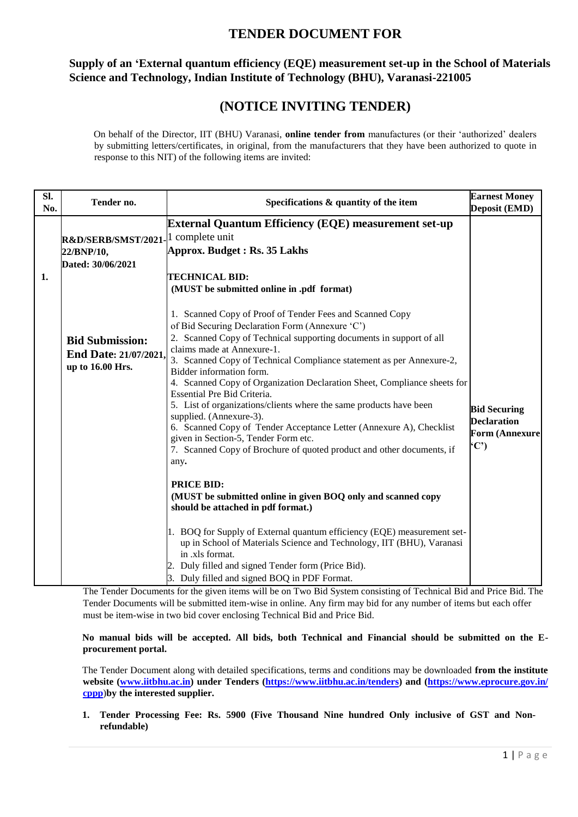## **TENDER DOCUMENT FOR**

## **Supply of an "External quantum efficiency (EQE) measurement set-up in the School of Materials Science and Technology, Indian Institute of Technology (BHU), Varanasi-221005**

## **(NOTICE INVITING TENDER)**

On behalf of the Director, IIT (BHU) Varanasi, **online tender from** manufactures (or their "authorized" dealers by submitting letters/certificates, in original, from the manufacturers that they have been authorized to quote in response to this NIT) of the following items are invited:

| SI.<br>No. | Tender no.                                                          | Specifications & quantity of the item                                                                                                                                                                                                                                                                                                                                                                                                                                                                                                                                                                                                                                                                                                                                                                                 | <b>Earnest Money</b><br>Deposit (EMD)                                      |
|------------|---------------------------------------------------------------------|-----------------------------------------------------------------------------------------------------------------------------------------------------------------------------------------------------------------------------------------------------------------------------------------------------------------------------------------------------------------------------------------------------------------------------------------------------------------------------------------------------------------------------------------------------------------------------------------------------------------------------------------------------------------------------------------------------------------------------------------------------------------------------------------------------------------------|----------------------------------------------------------------------------|
| 1.         | R&D/SERB/SMST/2021<br>22/BNP/10,<br>Dated: 30/06/2021               | <b>External Quantum Efficiency (EQE) measurement set-up</b><br>1 complete unit<br>Approx. Budget: Rs. 35 Lakhs<br><b>TECHNICAL BID:</b><br>(MUST be submitted online in .pdf format)                                                                                                                                                                                                                                                                                                                                                                                                                                                                                                                                                                                                                                  |                                                                            |
|            | <b>Bid Submission:</b><br>End Date: 21/07/2021.<br>up to 16.00 Hrs. | 1. Scanned Copy of Proof of Tender Fees and Scanned Copy<br>of Bid Securing Declaration Form (Annexure 'C')<br>2. Scanned Copy of Technical supporting documents in support of all<br>claims made at Annexure-1.<br>3. Scanned Copy of Technical Compliance statement as per Annexure-2,<br>Bidder information form.<br>4. Scanned Copy of Organization Declaration Sheet, Compliance sheets for<br>Essential Pre Bid Criteria.<br>5. List of organizations/clients where the same products have been<br>supplied. (Annexure-3).<br>6. Scanned Copy of Tender Acceptance Letter (Annexure A), Checklist<br>given in Section-5, Tender Form etc.<br>7. Scanned Copy of Brochure of quoted product and other documents, if<br>any.<br><b>PRICE BID:</b><br>(MUST be submitted online in given BOQ only and scanned copy | <b>Bid Securing</b><br><b>Declaration</b><br><b>Form (Annexure</b><br>(C') |
|            |                                                                     | should be attached in pdf format.)<br>1. BOQ for Supply of External quantum efficiency (EQE) measurement set-<br>up in School of Materials Science and Technology, IIT (BHU), Varanasi<br>in .xls format.<br>2. Duly filled and signed Tender form (Price Bid).<br>3. Duly filled and signed BOQ in PDF Format.                                                                                                                                                                                                                                                                                                                                                                                                                                                                                                       |                                                                            |

The Tender Documents for the given items will be on Two Bid System consisting of Technical Bid and Price Bid. The Tender Documents will be submitted item-wise in online. Any firm may bid for any number of items but each offer must be item-wise in two bid cover enclosing Technical Bid and Price Bid.

**No manual bids will be accepted. All bids, both Technical and Financial should be submitted on the Eprocurement portal.**

The Tender Document along with detailed specifications, terms and conditions may be downloaded **from the institute website [\(www.iitbhu.ac.in\)](http://www.iitbhu.ac.in/) under Tenders [\(https://www.iitbhu.ac.in/tenders\)](https://www.iitbhu.ac.in/tenders) and [\(https://www.eprocure.gov.in/](https://www.eprocure.gov.in/%20cppp)  [cppp](https://www.eprocure.gov.in/%20cppp)**[\)](https://www.eprocure.gov.in/%20cppp)**by the interested supplier.** 

**1. Tender Processing Fee: Rs. 5900 (Five Thousand Nine hundred Only inclusive of GST and Nonrefundable)**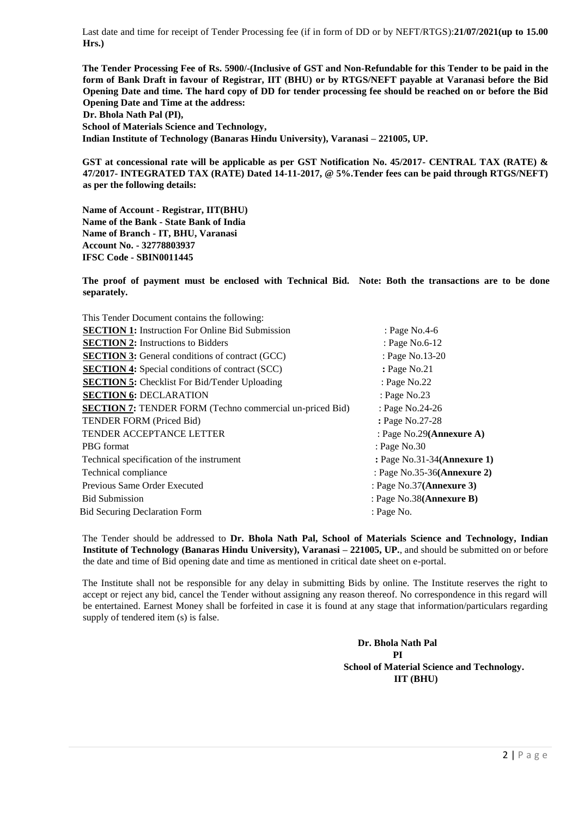Last date and time for receipt of Tender Processing fee (if in form of DD or by NEFT/RTGS):**21/07/2021(up to 15.00 Hrs.)** 

**The Tender Processing Fee of Rs. 5900/-(Inclusive of GST and Non-Refundable for this Tender to be paid in the form of Bank Draft in favour of Registrar, IIT (BHU) or by RTGS/NEFT payable at Varanasi before the Bid Opening Date and time. The hard copy of DD for tender processing fee should be reached on or before the Bid Opening Date and Time at the address: Dr. Bhola Nath Pal (PI), School of Materials Science and Technology, Indian Institute of Technology (Banaras Hindu University), Varanasi – 221005, UP.** 

**GST at concessional rate will be applicable as per GST Notification No. 45/2017- CENTRAL TAX (RATE) & 47/2017- INTEGRATED TAX (RATE) Dated 14-11-2017, @ 5%.Tender fees can be paid through RTGS/NEFT) as per the following details:** 

**Name of Account - Registrar, IIT(BHU) Name of the Bank - State Bank of India Name of Branch - IT, BHU, Varanasi Account No. - 32778803937 IFSC Code - SBIN0011445** 

**The proof of payment must be enclosed with Technical Bid. Note: Both the transactions are to be done separately.** 

| This Tender Document contains the following:                    |                             |
|-----------------------------------------------------------------|-----------------------------|
| <b>SECTION 1:</b> Instruction For Online Bid Submission         | : Page No.4-6               |
| <b>SECTION 2:</b> Instructions to Bidders                       | : Page No.6-12              |
| <b>SECTION 3:</b> General conditions of contract (GCC)          | : Page No.13-20             |
| <b>SECTION 4:</b> Special conditions of contract (SCC)          | : Page No.21                |
| <b>SECTION 5:</b> Checklist For Bid/Tender Uploading            | : Page No.22                |
| <b>SECTION 6: DECLARATION</b>                                   | : Page No.23                |
| <b>SECTION 7:</b> TENDER FORM (Techno commercial un-priced Bid) | : Page No.24-26             |
| <b>TENDER FORM (Priced Bid)</b>                                 | : Page No.27-28             |
| <b>TENDER ACCEPTANCE LETTER</b>                                 | : Page No.29(Annexure A)    |
| <b>PBG</b> format                                               | : Page No.30                |
| Technical specification of the instrument                       | : Page No.31-34(Annexure 1) |
| Technical compliance                                            | : Page No.35-36(Annexure 2) |
| Previous Same Order Executed                                    | : Page $No.37$ (Annexure 3) |
| <b>Bid Submission</b>                                           | : Page No.38(Annexure B)    |
| <b>Bid Securing Declaration Form</b>                            | : Page No.                  |
|                                                                 |                             |

The Tender should be addressed to **Dr. Bhola Nath Pal, School of Materials Science and Technology, Indian Institute of Technology (Banaras Hindu University), Varanasi – 221005, UP.**, and should be submitted on or before the date and time of Bid opening date and time as mentioned in critical date sheet on e-portal.

The Institute shall not be responsible for any delay in submitting Bids by online. The Institute reserves the right to accept or reject any bid, cancel the Tender without assigning any reason thereof. No correspondence in this regard will be entertained. Earnest Money shall be forfeited in case it is found at any stage that information/particulars regarding supply of tendered item (s) is false.

> **Dr. Bhola Nath Pal PI School of Material Science and Technology. IIT (BHU)**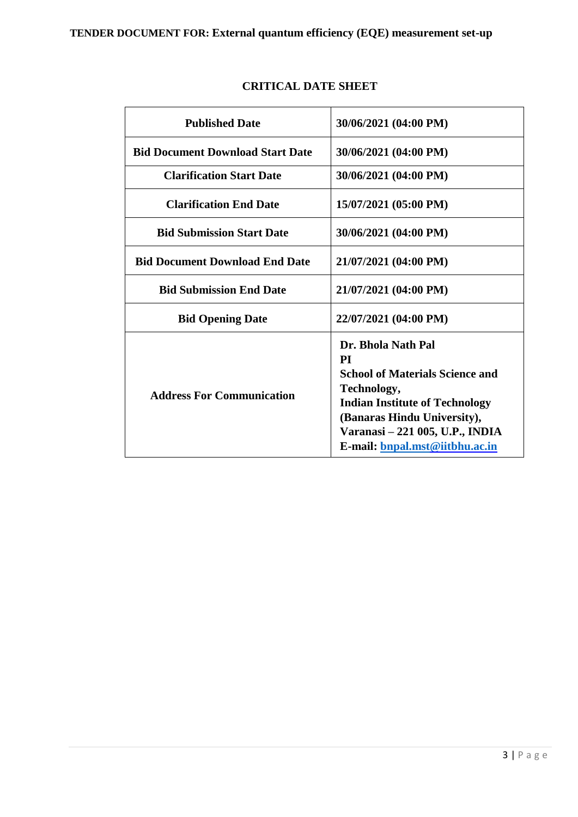| <b>Published Date</b>                   | 30/06/2021 (04:00 PM)                                                                                                                                                                                                          |
|-----------------------------------------|--------------------------------------------------------------------------------------------------------------------------------------------------------------------------------------------------------------------------------|
| <b>Bid Document Download Start Date</b> | 30/06/2021 (04:00 PM)                                                                                                                                                                                                          |
| <b>Clarification Start Date</b>         | 30/06/2021 (04:00 PM)                                                                                                                                                                                                          |
| <b>Clarification End Date</b>           | 15/07/2021 (05:00 PM)                                                                                                                                                                                                          |
| <b>Bid Submission Start Date</b>        | 30/06/2021 (04:00 PM)                                                                                                                                                                                                          |
| <b>Bid Document Download End Date</b>   | 21/07/2021 (04:00 PM)                                                                                                                                                                                                          |
| <b>Bid Submission End Date</b>          | 21/07/2021 (04:00 PM)                                                                                                                                                                                                          |
| <b>Bid Opening Date</b>                 | 22/07/2021 (04:00 PM)                                                                                                                                                                                                          |
| <b>Address For Communication</b>        | Dr. Bhola Nath Pal<br>PI<br><b>School of Materials Science and</b><br>Technology,<br><b>Indian Institute of Technology</b><br>(Banaras Hindu University),<br>Varanasi - 221 005, U.P., INDIA<br>E-mail: bnpal.mst@iitbhu.ac.in |

## **CRITICAL DATE SHEET**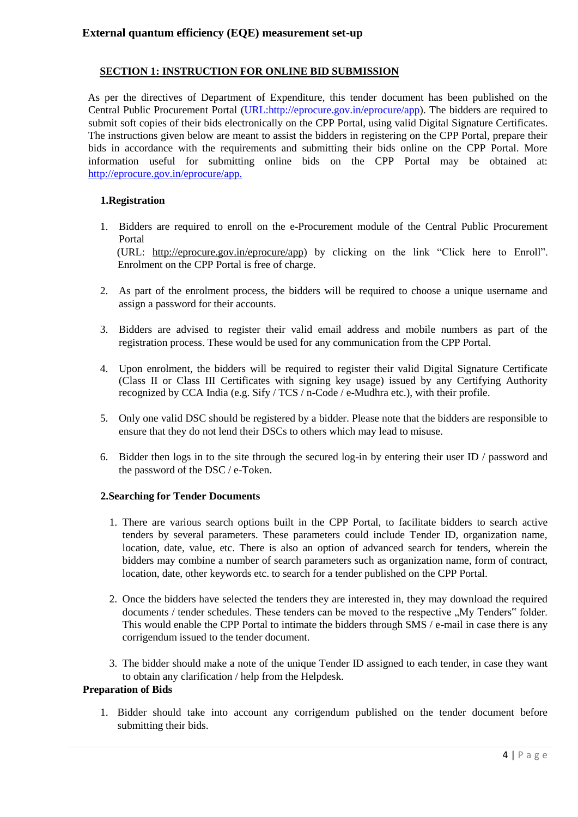## **SECTION 1: INSTRUCTION FOR ONLINE BID SUBMISSION**

As per the directives of Department of Expenditure, this tender document has been published on the Central Public Procurement Portal [\(URL:http://eprocure.gov.in/eprocure/app\).](http://eprocure.gov.in/eprocure/app) The bidders are required to submit soft copies of their bids electronically on the CPP Portal, using valid Digital Signature Certificates. The instructions given below are meant to assist the bidders in registering on the CPP Portal, prepare their bids in accordance with the requirements and submitting their bids online on the CPP Portal. More information useful for submitting online bids on the CPP Portal may be obtained at: <http://eprocure.gov.in/eprocure/app.>

### **1.Registration**

- 1. Bidders are required to enroll on the e-Procurement module of the Central Public Procurement Portal (URL: [http://eprocure.gov.in/eprocure/app\) by cl](http://eprocure.gov.in/eprocure/app)icking on the link "Click here to Enroll". Enrolment on the CPP Portal is free of charge.
- 2. As part of the enrolment process, the bidders will be required to choose a unique username and assign a password for their accounts.
- 3. Bidders are advised to register their valid email address and mobile numbers as part of the registration process. These would be used for any communication from the CPP Portal.
- 4. Upon enrolment, the bidders will be required to register their valid Digital Signature Certificate (Class II or Class III Certificates with signing key usage) issued by any Certifying Authority recognized by CCA India (e.g. Sify / TCS / n-Code / e-Mudhra etc.), with their profile.
- 5. Only one valid DSC should be registered by a bidder. Please note that the bidders are responsible to ensure that they do not lend their DSCs to others which may lead to misuse.
- 6. Bidder then logs in to the site through the secured log-in by entering their user ID / password and the password of the DSC / e-Token.

#### **2.Searching for Tender Documents**

- 1. There are various search options built in the CPP Portal, to facilitate bidders to search active tenders by several parameters. These parameters could include Tender ID, organization name, location, date, value, etc. There is also an option of advanced search for tenders, wherein the bidders may combine a number of search parameters such as organization name, form of contract, location, date, other keywords etc. to search for a tender published on the CPP Portal.
- 2. Once the bidders have selected the tenders they are interested in, they may download the required documents / tender schedules. These tenders can be moved to the respective "My Tenders" folder. This would enable the CPP Portal to intimate the bidders through SMS / e-mail in case there is any corrigendum issued to the tender document.
- 3. The bidder should make a note of the unique Tender ID assigned to each tender, in case they want to obtain any clarification / help from the Helpdesk.

### **Preparation of Bids**

1. Bidder should take into account any corrigendum published on the tender document before submitting their bids.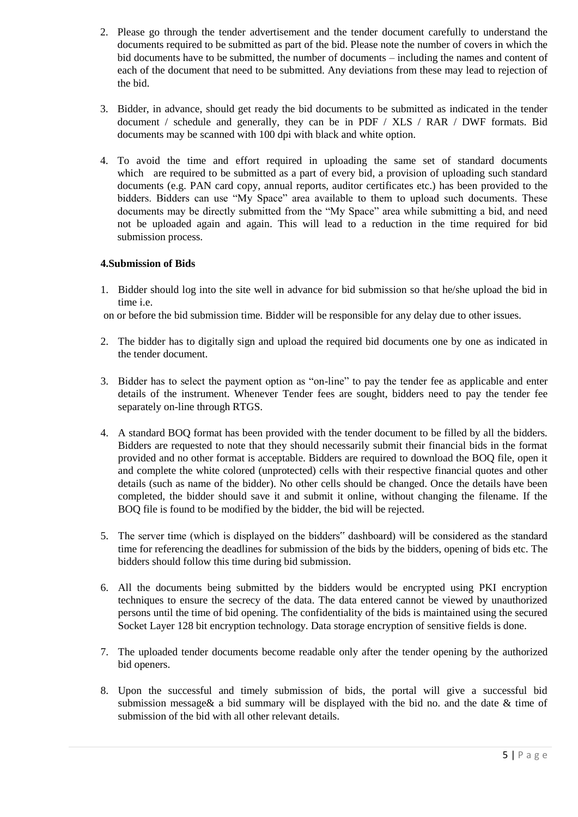- 2. Please go through the tender advertisement and the tender document carefully to understand the documents required to be submitted as part of the bid. Please note the number of covers in which the bid documents have to be submitted, the number of documents – including the names and content of each of the document that need to be submitted. Any deviations from these may lead to rejection of the bid.
- 3. Bidder, in advance, should get ready the bid documents to be submitted as indicated in the tender document / schedule and generally, they can be in PDF / XLS / RAR / DWF formats. Bid documents may be scanned with 100 dpi with black and white option.
- 4. To avoid the time and effort required in uploading the same set of standard documents which are required to be submitted as a part of every bid, a provision of uploading such standard documents (e.g. PAN card copy, annual reports, auditor certificates etc.) has been provided to the bidders. Bidders can use "My Space" area available to them to upload such documents. These documents may be directly submitted from the "My Space" area while submitting a bid, and need not be uploaded again and again. This will lead to a reduction in the time required for bid submission process.

## **4.Submission of Bids**

1. Bidder should log into the site well in advance for bid submission so that he/she upload the bid in time i.e.

on or before the bid submission time. Bidder will be responsible for any delay due to other issues.

- 2. The bidder has to digitally sign and upload the required bid documents one by one as indicated in the tender document.
- 3. Bidder has to select the payment option as "on-line" to pay the tender fee as applicable and enter details of the instrument. Whenever Tender fees are sought, bidders need to pay the tender fee separately on-line through RTGS.
- 4. A standard BOQ format has been provided with the tender document to be filled by all the bidders. Bidders are requested to note that they should necessarily submit their financial bids in the format provided and no other format is acceptable. Bidders are required to download the BOQ file, open it and complete the white colored (unprotected) cells with their respective financial quotes and other details (such as name of the bidder). No other cells should be changed. Once the details have been completed, the bidder should save it and submit it online, without changing the filename. If the BOQ file is found to be modified by the bidder, the bid will be rejected.
- 5. The server time (which is displayed on the bidders" dashboard) will be considered as the standard time for referencing the deadlines for submission of the bids by the bidders, opening of bids etc. The bidders should follow this time during bid submission.
- 6. All the documents being submitted by the bidders would be encrypted using PKI encryption techniques to ensure the secrecy of the data. The data entered cannot be viewed by unauthorized persons until the time of bid opening. The confidentiality of the bids is maintained using the secured Socket Layer 128 bit encryption technology. Data storage encryption of sensitive fields is done.
- 7. The uploaded tender documents become readable only after the tender opening by the authorized bid openers.
- 8. Upon the successful and timely submission of bids, the portal will give a successful bid submission message& a bid summary will be displayed with the bid no. and the date & time of submission of the bid with all other relevant details.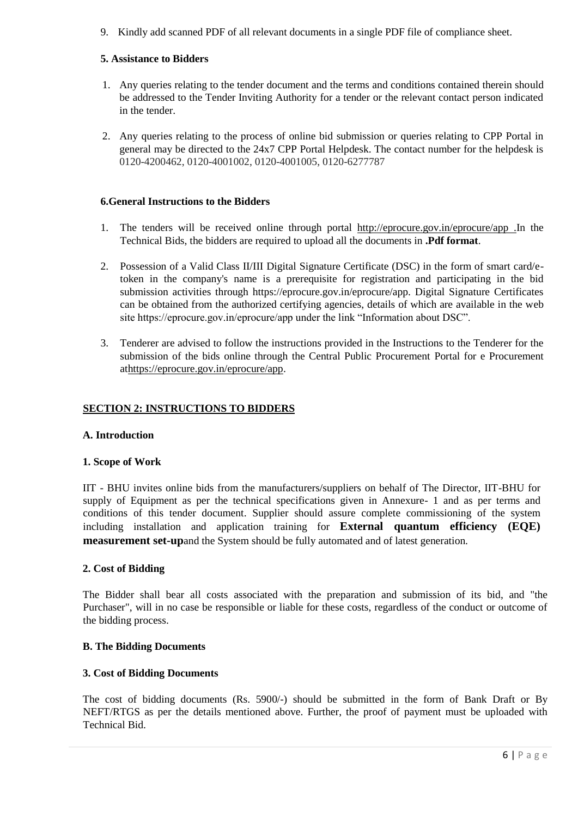9. Kindly add scanned PDF of all relevant documents in a single PDF file of compliance sheet.

## **5. Assistance to Bidders**

- 1. Any queries relating to the tender document and the terms and conditions contained therein should be addressed to the Tender Inviting Authority for a tender or the relevant contact person indicated in the tender.
- 2. Any queries relating to the process of online bid submission or queries relating to CPP Portal in general may be directed to the 24x7 CPP Portal Helpdesk. The contact number for the helpdesk is 0120-4200462, 0120-4001002, 0120-4001005, 0120-6277787

## **6.General Instructions to the Bidders**

- 1. The tenders will be received online through portal [http://eprocure.gov.in/eprocure/app .In th](http://eprocure.gov.in/eprocure/app)e Technical Bids, the bidders are required to upload all the documents in **.Pdf format**.
- 2. Possession of a Valid Class II/III Digital Signature Certificate (DSC) in the form of smart card/etoken in the company's name is a prerequisite for registration and participating in the bid submission activities through https://eprocure.gov.in/eprocure/app. Digital Signature Certificates can be obtained from the authorized certifying agencies, details of which are available in the web site https://eprocure.gov.in/eprocure/app under the link "Information about DSC".
- 3. Tenderer are advised to follow the instructions provided in the Instructions to the Tenderer for the submission of the bids online through the Central Public Procurement Portal for e Procurement [athttps://eprocure.gov.in/eprocure/app.](https://eprocure.gov.in/eprocure/app)

## **SECTION 2: INSTRUCTIONS TO BIDDERS**

## **A. Introduction**

#### **1. Scope of Work**

IIT - BHU invites online bids from the manufacturers/suppliers on behalf of The Director, IIT-BHU for supply of Equipment as per the technical specifications given in Annexure- 1 and as per terms and conditions of this tender document. Supplier should assure complete commissioning of the system including installation and application training for **External quantum efficiency (EQE) measurement set-up**and the System should be fully automated and of latest generation.

#### **2. Cost of Bidding**

The Bidder shall bear all costs associated with the preparation and submission of its bid, and "the Purchaser", will in no case be responsible or liable for these costs, regardless of the conduct or outcome of the bidding process.

### **B. The Bidding Documents**

## **3. Cost of Bidding Documents**

The cost of bidding documents (Rs. 5900/-) should be submitted in the form of Bank Draft or By NEFT/RTGS as per the details mentioned above. Further, the proof of payment must be uploaded with Technical Bid.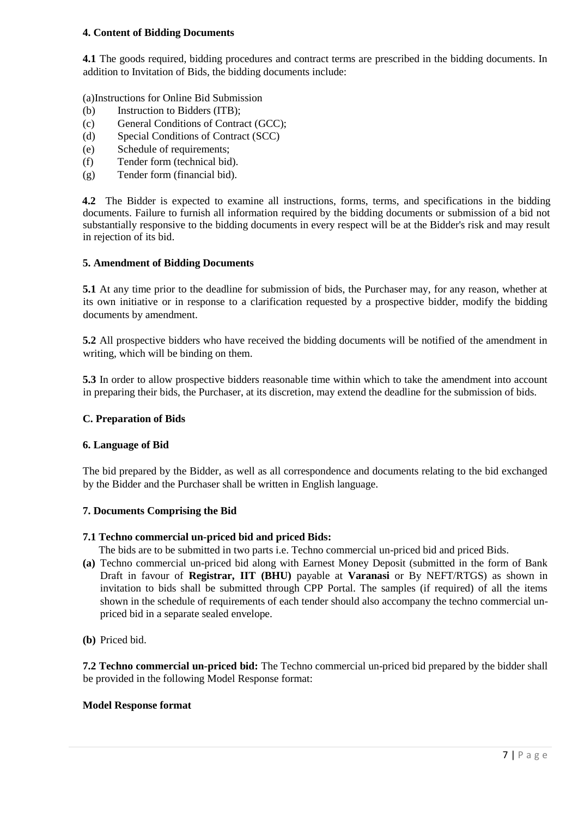### **4. Content of Bidding Documents**

**4.1** The goods required, bidding procedures and contract terms are prescribed in the bidding documents. In addition to Invitation of Bids, the bidding documents include:

(a)Instructions for Online Bid Submission

- (b) Instruction to Bidders (ITB);
- (c) General Conditions of Contract (GCC);
- (d) Special Conditions of Contract (SCC)
- (e) Schedule of requirements;
- (f) Tender form (technical bid).
- (g) Tender form (financial bid).

**4.2** The Bidder is expected to examine all instructions, forms, terms, and specifications in the bidding documents. Failure to furnish all information required by the bidding documents or submission of a bid not substantially responsive to the bidding documents in every respect will be at the Bidder's risk and may result in rejection of its bid.

#### **5. Amendment of Bidding Documents**

**5.1** At any time prior to the deadline for submission of bids, the Purchaser may, for any reason, whether at its own initiative or in response to a clarification requested by a prospective bidder, modify the bidding documents by amendment.

**5.2** All prospective bidders who have received the bidding documents will be notified of the amendment in writing, which will be binding on them.

**5.3** In order to allow prospective bidders reasonable time within which to take the amendment into account in preparing their bids, the Purchaser, at its discretion, may extend the deadline for the submission of bids.

#### **C. Preparation of Bids**

#### **6. Language of Bid**

The bid prepared by the Bidder, as well as all correspondence and documents relating to the bid exchanged by the Bidder and the Purchaser shall be written in English language.

#### **7. Documents Comprising the Bid**

#### **7.1 Techno commercial un-priced bid and priced Bids:**

The bids are to be submitted in two parts i.e. Techno commercial un-priced bid and priced Bids.

**(a)** Techno commercial un-priced bid along with Earnest Money Deposit (submitted in the form of Bank Draft in favour of **Registrar, IIT (BHU)** payable at **Varanasi** or By NEFT/RTGS) as shown in invitation to bids shall be submitted through CPP Portal. The samples (if required) of all the items shown in the schedule of requirements of each tender should also accompany the techno commercial unpriced bid in a separate sealed envelope.

**(b)** Priced bid.

**7.2 Techno commercial un-priced bid:** The Techno commercial un-priced bid prepared by the bidder shall be provided in the following Model Response format:

#### **Model Response format**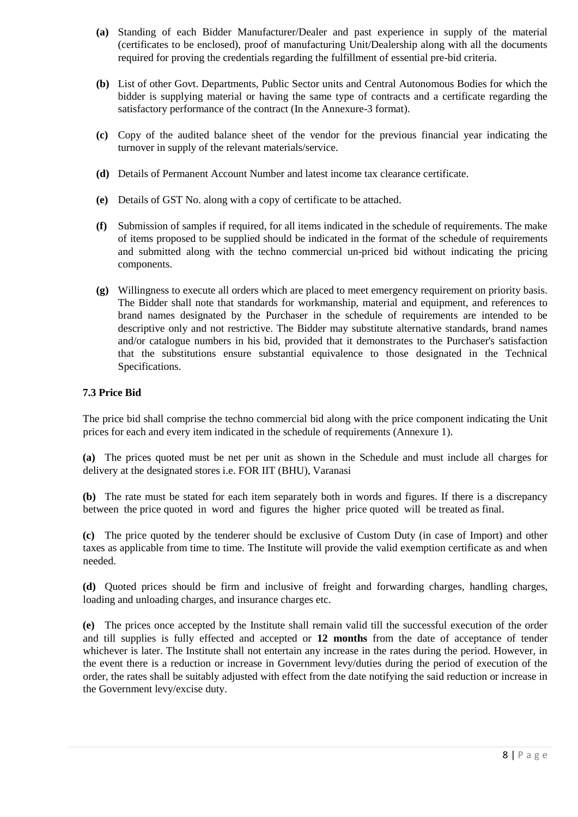- **(a)** Standing of each Bidder Manufacturer/Dealer and past experience in supply of the material (certificates to be enclosed), proof of manufacturing Unit/Dealership along with all the documents required for proving the credentials regarding the fulfillment of essential pre-bid criteria.
- **(b)** List of other Govt. Departments, Public Sector units and Central Autonomous Bodies for which the bidder is supplying material or having the same type of contracts and a certificate regarding the satisfactory performance of the contract (In the Annexure-3 format).
- **(c)** Copy of the audited balance sheet of the vendor for the previous financial year indicating the turnover in supply of the relevant materials/service.
- **(d)** Details of Permanent Account Number and latest income tax clearance certificate.
- **(e)** Details of GST No. along with a copy of certificate to be attached.
- **(f)** Submission of samples if required, for all items indicated in the schedule of requirements. The make of items proposed to be supplied should be indicated in the format of the schedule of requirements and submitted along with the techno commercial un-priced bid without indicating the pricing components.
- **(g)** Willingness to execute all orders which are placed to meet emergency requirement on priority basis. The Bidder shall note that standards for workmanship, material and equipment, and references to brand names designated by the Purchaser in the schedule of requirements are intended to be descriptive only and not restrictive. The Bidder may substitute alternative standards, brand names and/or catalogue numbers in his bid, provided that it demonstrates to the Purchaser's satisfaction that the substitutions ensure substantial equivalence to those designated in the Technical Specifications.

### **7.3 Price Bid**

The price bid shall comprise the techno commercial bid along with the price component indicating the Unit prices for each and every item indicated in the schedule of requirements (Annexure 1).

**(a)** The prices quoted must be net per unit as shown in the Schedule and must include all charges for delivery at the designated stores i.e. FOR IIT (BHU), Varanasi

**(b)** The rate must be stated for each item separately both in words and figures. If there is a discrepancy between the price quoted in word and figures the higher price quoted will be treated as final.

**(c)** The price quoted by the tenderer should be exclusive of Custom Duty (in case of Import) and other taxes as applicable from time to time. The Institute will provide the valid exemption certificate as and when needed.

**(d)** Quoted prices should be firm and inclusive of freight and forwarding charges, handling charges, loading and unloading charges, and insurance charges etc.

**(e)** The prices once accepted by the Institute shall remain valid till the successful execution of the order and till supplies is fully effected and accepted or **12 months** from the date of acceptance of tender whichever is later. The Institute shall not entertain any increase in the rates during the period. However, in the event there is a reduction or increase in Government levy/duties during the period of execution of the order, the rates shall be suitably adjusted with effect from the date notifying the said reduction or increase in the Government levy/excise duty.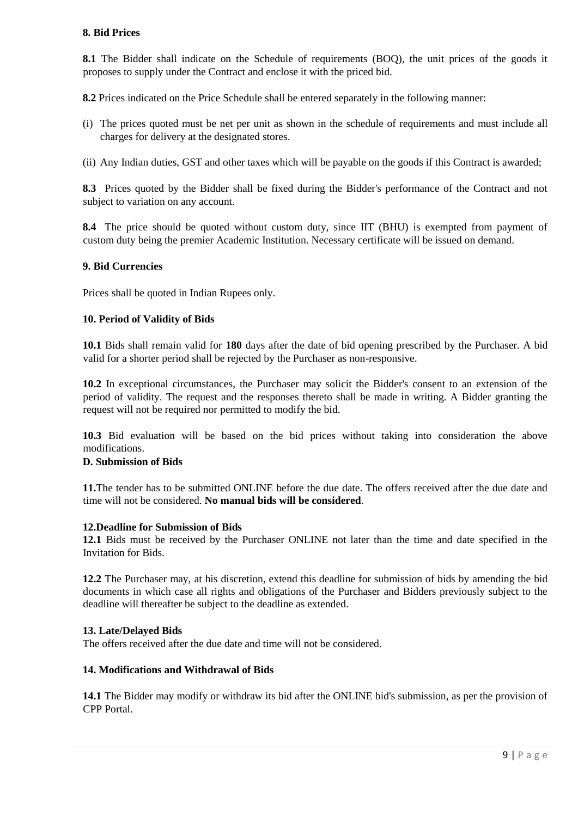### **8. Bid Prices**

**8.1** The Bidder shall indicate on the Schedule of requirements (BOQ), the unit prices of the goods it proposes to supply under the Contract and enclose it with the priced bid.

**8.2** Prices indicated on the Price Schedule shall be entered separately in the following manner:

- (i) The prices quoted must be net per unit as shown in the schedule of requirements and must include all charges for delivery at the designated stores.
- (ii) Any Indian duties, GST and other taxes which will be payable on the goods if this Contract is awarded;

**8.3** Prices quoted by the Bidder shall be fixed during the Bidder's performance of the Contract and not subject to variation on any account.

**8.4** The price should be quoted without custom duty, since IIT (BHU) is exempted from payment of custom duty being the premier Academic Institution. Necessary certificate will be issued on demand.

#### **9. Bid Currencies**

Prices shall be quoted in Indian Rupees only.

### **10. Period of Validity of Bids**

**10.1** Bids shall remain valid for **180** days after the date of bid opening prescribed by the Purchaser. A bid valid for a shorter period shall be rejected by the Purchaser as non-responsive.

**10.2** In exceptional circumstances, the Purchaser may solicit the Bidder's consent to an extension of the period of validity. The request and the responses thereto shall be made in writing. A Bidder granting the request will not be required nor permitted to modify the bid.

**10.3** Bid evaluation will be based on the bid prices without taking into consideration the above modifications.

#### **D. Submission of Bids**

**11.**The tender has to be submitted ONLINE before the due date. The offers received after the due date and time will not be considered. **No manual bids will be considered**.

#### **12.Deadline for Submission of Bids**

**12.1** Bids must be received by the Purchaser ONLINE not later than the time and date specified in the Invitation for Bids.

**12.2** The Purchaser may, at his discretion, extend this deadline for submission of bids by amending the bid documents in which case all rights and obligations of the Purchaser and Bidders previously subject to the deadline will thereafter be subject to the deadline as extended.

#### **13. Late/Delayed Bids**

The offers received after the due date and time will not be considered.

#### **14. Modifications and Withdrawal of Bids**

**14.1** The Bidder may modify or withdraw its bid after the ONLINE bid's submission, as per the provision of CPP Portal.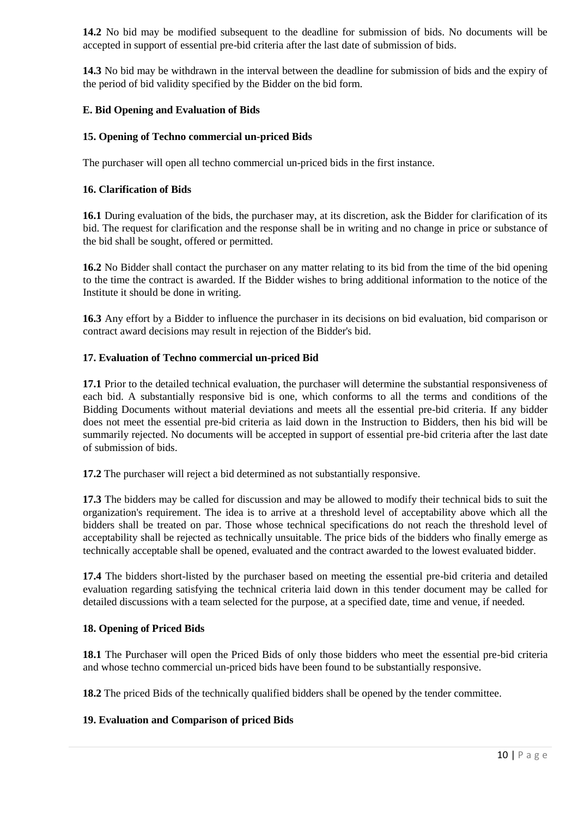**14.2** No bid may be modified subsequent to the deadline for submission of bids. No documents will be accepted in support of essential pre-bid criteria after the last date of submission of bids.

**14.3** No bid may be withdrawn in the interval between the deadline for submission of bids and the expiry of the period of bid validity specified by the Bidder on the bid form.

### **E. Bid Opening and Evaluation of Bids**

### **15. Opening of Techno commercial un-priced Bids**

The purchaser will open all techno commercial un-priced bids in the first instance.

#### **16. Clarification of Bids**

**16.1** During evaluation of the bids, the purchaser may, at its discretion, ask the Bidder for clarification of its bid. The request for clarification and the response shall be in writing and no change in price or substance of the bid shall be sought, offered or permitted.

**16.2** No Bidder shall contact the purchaser on any matter relating to its bid from the time of the bid opening to the time the contract is awarded. If the Bidder wishes to bring additional information to the notice of the Institute it should be done in writing.

**16.3** Any effort by a Bidder to influence the purchaser in its decisions on bid evaluation, bid comparison or contract award decisions may result in rejection of the Bidder's bid.

#### **17. Evaluation of Techno commercial un-priced Bid**

**17.1** Prior to the detailed technical evaluation, the purchaser will determine the substantial responsiveness of each bid. A substantially responsive bid is one, which conforms to all the terms and conditions of the Bidding Documents without material deviations and meets all the essential pre-bid criteria. If any bidder does not meet the essential pre-bid criteria as laid down in the Instruction to Bidders, then his bid will be summarily rejected. No documents will be accepted in support of essential pre-bid criteria after the last date of submission of bids.

**17.2** The purchaser will reject a bid determined as not substantially responsive.

**17.3** The bidders may be called for discussion and may be allowed to modify their technical bids to suit the organization's requirement. The idea is to arrive at a threshold level of acceptability above which all the bidders shall be treated on par. Those whose technical specifications do not reach the threshold level of acceptability shall be rejected as technically unsuitable. The price bids of the bidders who finally emerge as technically acceptable shall be opened, evaluated and the contract awarded to the lowest evaluated bidder.

**17.4** The bidders short-listed by the purchaser based on meeting the essential pre-bid criteria and detailed evaluation regarding satisfying the technical criteria laid down in this tender document may be called for detailed discussions with a team selected for the purpose, at a specified date, time and venue, if needed.

#### **18. Opening of Priced Bids**

**18.1** The Purchaser will open the Priced Bids of only those bidders who meet the essential pre-bid criteria and whose techno commercial un-priced bids have been found to be substantially responsive.

**18.2** The priced Bids of the technically qualified bidders shall be opened by the tender committee.

#### **19. Evaluation and Comparison of priced Bids**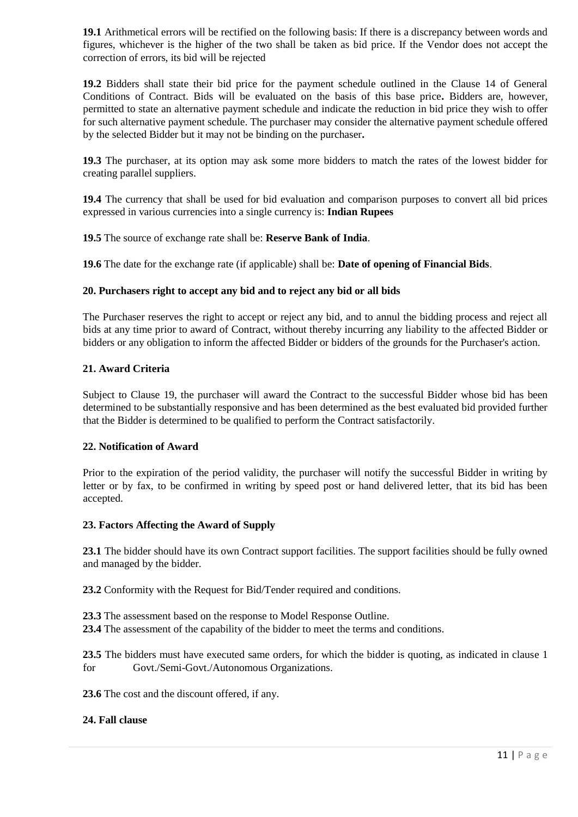**19.1** Arithmetical errors will be rectified on the following basis: If there is a discrepancy between words and figures, whichever is the higher of the two shall be taken as bid price. If the Vendor does not accept the correction of errors, its bid will be rejected

**19.2** Bidders shall state their bid price for the payment schedule outlined in the Clause 14 of General Conditions of Contract. Bids will be evaluated on the basis of this base price**.** Bidders are, however, permitted to state an alternative payment schedule and indicate the reduction in bid price they wish to offer for such alternative payment schedule. The purchaser may consider the alternative payment schedule offered by the selected Bidder but it may not be binding on the purchaser**.** 

**19.3** The purchaser, at its option may ask some more bidders to match the rates of the lowest bidder for creating parallel suppliers.

**19.4** The currency that shall be used for bid evaluation and comparison purposes to convert all bid prices expressed in various currencies into a single currency is: **Indian Rupees** 

**19.5** The source of exchange rate shall be: **Reserve Bank of India**.

**19.6** The date for the exchange rate (if applicable) shall be: **Date of opening of Financial Bids**.

#### **20. Purchasers right to accept any bid and to reject any bid or all bids**

The Purchaser reserves the right to accept or reject any bid, and to annul the bidding process and reject all bids at any time prior to award of Contract, without thereby incurring any liability to the affected Bidder or bidders or any obligation to inform the affected Bidder or bidders of the grounds for the Purchaser's action.

#### **21. Award Criteria**

Subject to Clause 19, the purchaser will award the Contract to the successful Bidder whose bid has been determined to be substantially responsive and has been determined as the best evaluated bid provided further that the Bidder is determined to be qualified to perform the Contract satisfactorily.

#### **22. Notification of Award**

Prior to the expiration of the period validity, the purchaser will notify the successful Bidder in writing by letter or by fax, to be confirmed in writing by speed post or hand delivered letter, that its bid has been accepted.

#### **23. Factors Affecting the Award of Supply**

**23.1** The bidder should have its own Contract support facilities. The support facilities should be fully owned and managed by the bidder.

**23.2** Conformity with the Request for Bid/Tender required and conditions.

**23.3** The assessment based on the response to Model Response Outline.

**23.4** The assessment of the capability of the bidder to meet the terms and conditions.

**23.5** The bidders must have executed same orders, for which the bidder is quoting, as indicated in clause 1 for Govt./Semi-Govt./Autonomous Organizations.

**23.6** The cost and the discount offered, if any.

#### **24. Fall clause**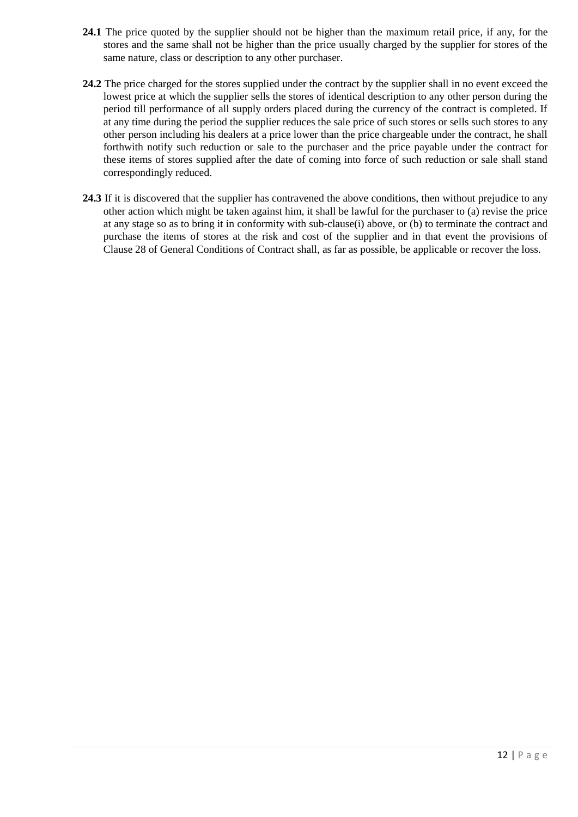- **24.1** The price quoted by the supplier should not be higher than the maximum retail price, if any, for the stores and the same shall not be higher than the price usually charged by the supplier for stores of the same nature, class or description to any other purchaser.
- **24.2** The price charged for the stores supplied under the contract by the supplier shall in no event exceed the lowest price at which the supplier sells the stores of identical description to any other person during the period till performance of all supply orders placed during the currency of the contract is completed. If at any time during the period the supplier reduces the sale price of such stores or sells such stores to any other person including his dealers at a price lower than the price chargeable under the contract, he shall forthwith notify such reduction or sale to the purchaser and the price payable under the contract for these items of stores supplied after the date of coming into force of such reduction or sale shall stand correspondingly reduced.
- **24.3** If it is discovered that the supplier has contravened the above conditions, then without prejudice to any other action which might be taken against him, it shall be lawful for the purchaser to (a) revise the price at any stage so as to bring it in conformity with sub-clause(i) above, or (b) to terminate the contract and purchase the items of stores at the risk and cost of the supplier and in that event the provisions of Clause 28 of General Conditions of Contract shall, as far as possible, be applicable or recover the loss.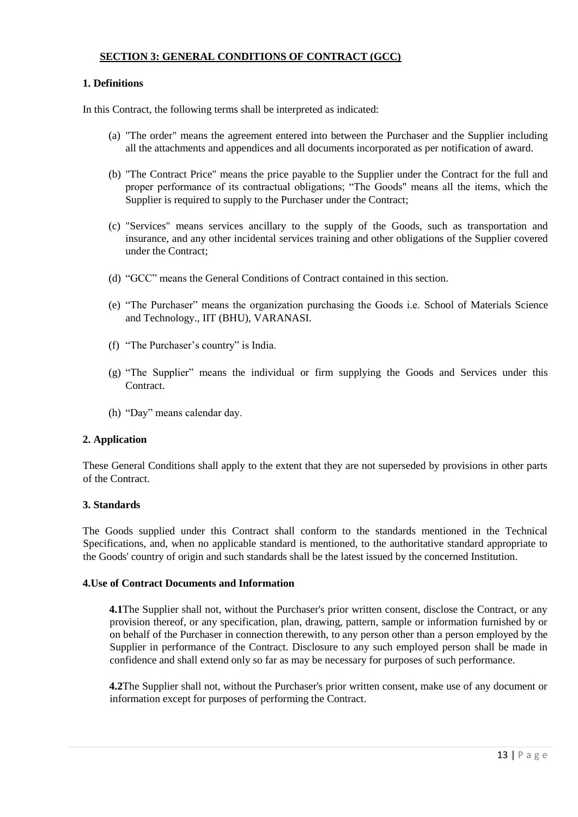## **SECTION 3: GENERAL CONDITIONS OF CONTRACT (GCC)**

## **1. Definitions**

In this Contract, the following terms shall be interpreted as indicated:

- (a) "The order" means the agreement entered into between the Purchaser and the Supplier including all the attachments and appendices and all documents incorporated as per notification of award.
- (b) "The Contract Price" means the price payable to the Supplier under the Contract for the full and proper performance of its contractual obligations; "The Goods" means all the items, which the Supplier is required to supply to the Purchaser under the Contract;
- (c) "Services" means services ancillary to the supply of the Goods, such as transportation and insurance, and any other incidental services training and other obligations of the Supplier covered under the Contract;
- (d) "GCC" means the General Conditions of Contract contained in this section.
- (e) "The Purchaser" means the organization purchasing the Goods i.e. School of Materials Science and Technology., IIT (BHU), VARANASI.
- (f) "The Purchaser"s country" is India.
- (g) "The Supplier" means the individual or firm supplying the Goods and Services under this Contract.
- (h) "Day" means calendar day.

## **2. Application**

These General Conditions shall apply to the extent that they are not superseded by provisions in other parts of the Contract.

## **3. Standards**

The Goods supplied under this Contract shall conform to the standards mentioned in the Technical Specifications, and, when no applicable standard is mentioned, to the authoritative standard appropriate to the Goods' country of origin and such standards shall be the latest issued by the concerned Institution.

#### **4.Use of Contract Documents and Information**

**4.1**The Supplier shall not, without the Purchaser's prior written consent, disclose the Contract, or any provision thereof, or any specification, plan, drawing, pattern, sample or information furnished by or on behalf of the Purchaser in connection therewith, to any person other than a person employed by the Supplier in performance of the Contract. Disclosure to any such employed person shall be made in confidence and shall extend only so far as may be necessary for purposes of such performance.

**4.2**The Supplier shall not, without the Purchaser's prior written consent, make use of any document or information except for purposes of performing the Contract.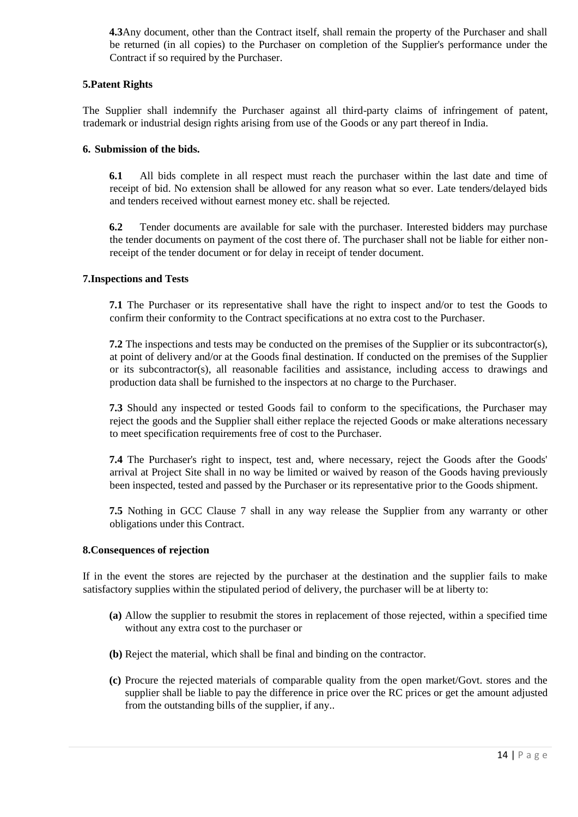**4.3**Any document, other than the Contract itself, shall remain the property of the Purchaser and shall be returned (in all copies) to the Purchaser on completion of the Supplier's performance under the Contract if so required by the Purchaser.

### **5.Patent Rights**

The Supplier shall indemnify the Purchaser against all third-party claims of infringement of patent, trademark or industrial design rights arising from use of the Goods or any part thereof in India.

### **6. Submission of the bids.**

**6.1** All bids complete in all respect must reach the purchaser within the last date and time of receipt of bid. No extension shall be allowed for any reason what so ever. Late tenders/delayed bids and tenders received without earnest money etc. shall be rejected.

**6.2** Tender documents are available for sale with the purchaser. Interested bidders may purchase the tender documents on payment of the cost there of. The purchaser shall not be liable for either nonreceipt of the tender document or for delay in receipt of tender document.

### **7.Inspections and Tests**

**7.1** The Purchaser or its representative shall have the right to inspect and/or to test the Goods to confirm their conformity to the Contract specifications at no extra cost to the Purchaser.

**7.2** The inspections and tests may be conducted on the premises of the Supplier or its subcontractor(s), at point of delivery and/or at the Goods final destination. If conducted on the premises of the Supplier or its subcontractor(s), all reasonable facilities and assistance, including access to drawings and production data shall be furnished to the inspectors at no charge to the Purchaser.

**7.3** Should any inspected or tested Goods fail to conform to the specifications, the Purchaser may reject the goods and the Supplier shall either replace the rejected Goods or make alterations necessary to meet specification requirements free of cost to the Purchaser.

**7.4** The Purchaser's right to inspect, test and, where necessary, reject the Goods after the Goods' arrival at Project Site shall in no way be limited or waived by reason of the Goods having previously been inspected, tested and passed by the Purchaser or its representative prior to the Goods shipment.

**7.5** Nothing in GCC Clause 7 shall in any way release the Supplier from any warranty or other obligations under this Contract.

#### **8.Consequences of rejection**

If in the event the stores are rejected by the purchaser at the destination and the supplier fails to make satisfactory supplies within the stipulated period of delivery, the purchaser will be at liberty to:

- **(a)** Allow the supplier to resubmit the stores in replacement of those rejected, within a specified time without any extra cost to the purchaser or
- **(b)** Reject the material, which shall be final and binding on the contractor.
- **(c)** Procure the rejected materials of comparable quality from the open market/Govt. stores and the supplier shall be liable to pay the difference in price over the RC prices or get the amount adjusted from the outstanding bills of the supplier, if any..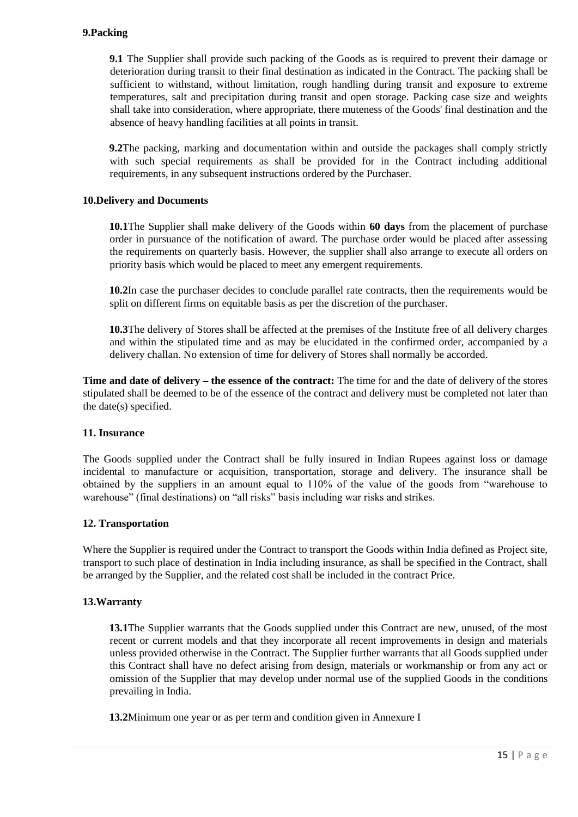**9.1** The Supplier shall provide such packing of the Goods as is required to prevent their damage or deterioration during transit to their final destination as indicated in the Contract. The packing shall be sufficient to withstand, without limitation, rough handling during transit and exposure to extreme temperatures, salt and precipitation during transit and open storage. Packing case size and weights shall take into consideration, where appropriate, there muteness of the Goods' final destination and the absence of heavy handling facilities at all points in transit.

**9.2**The packing, marking and documentation within and outside the packages shall comply strictly with such special requirements as shall be provided for in the Contract including additional requirements, in any subsequent instructions ordered by the Purchaser.

#### **10.Delivery and Documents**

**10.1**The Supplier shall make delivery of the Goods within **60 days** from the placement of purchase order in pursuance of the notification of award. The purchase order would be placed after assessing the requirements on quarterly basis. However, the supplier shall also arrange to execute all orders on priority basis which would be placed to meet any emergent requirements.

**10.2**In case the purchaser decides to conclude parallel rate contracts, then the requirements would be split on different firms on equitable basis as per the discretion of the purchaser.

**10.3**The delivery of Stores shall be affected at the premises of the Institute free of all delivery charges and within the stipulated time and as may be elucidated in the confirmed order, accompanied by a delivery challan. No extension of time for delivery of Stores shall normally be accorded.

**Time and date of delivery – the essence of the contract:** The time for and the date of delivery of the stores stipulated shall be deemed to be of the essence of the contract and delivery must be completed not later than the date(s) specified.

#### **11. Insurance**

The Goods supplied under the Contract shall be fully insured in Indian Rupees against loss or damage incidental to manufacture or acquisition, transportation, storage and delivery. The insurance shall be obtained by the suppliers in an amount equal to 110% of the value of the goods from "warehouse to warehouse" (final destinations) on "all risks" basis including war risks and strikes.

#### **12. Transportation**

Where the Supplier is required under the Contract to transport the Goods within India defined as Project site, transport to such place of destination in India including insurance, as shall be specified in the Contract, shall be arranged by the Supplier, and the related cost shall be included in the contract Price.

#### **13.Warranty**

**13.1**The Supplier warrants that the Goods supplied under this Contract are new, unused, of the most recent or current models and that they incorporate all recent improvements in design and materials unless provided otherwise in the Contract. The Supplier further warrants that all Goods supplied under this Contract shall have no defect arising from design, materials or workmanship or from any act or omission of the Supplier that may develop under normal use of the supplied Goods in the conditions prevailing in India.

**13.2**Minimum one year or as per term and condition given in Annexure I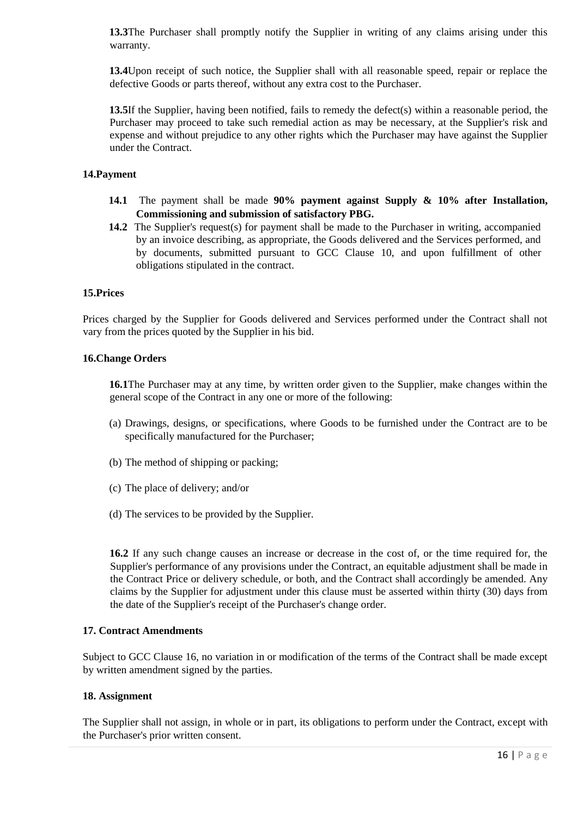**13.3**The Purchaser shall promptly notify the Supplier in writing of any claims arising under this warranty.

**13.4**Upon receipt of such notice, the Supplier shall with all reasonable speed, repair or replace the defective Goods or parts thereof, without any extra cost to the Purchaser.

**13.5**If the Supplier, having been notified, fails to remedy the defect(s) within a reasonable period, the Purchaser may proceed to take such remedial action as may be necessary, at the Supplier's risk and expense and without prejudice to any other rights which the Purchaser may have against the Supplier under the Contract.

### **14.Payment**

- **14.1** The payment shall be made **90% payment against Supply & 10% after Installation, Commissioning and submission of satisfactory PBG.**
- **14.2** The Supplier's request(s) for payment shall be made to the Purchaser in writing, accompanied by an invoice describing, as appropriate, the Goods delivered and the Services performed, and by documents, submitted pursuant to GCC Clause 10, and upon fulfillment of other obligations stipulated in the contract.

#### **15.Prices**

Prices charged by the Supplier for Goods delivered and Services performed under the Contract shall not vary from the prices quoted by the Supplier in his bid.

#### **16.Change Orders**

**16.1**The Purchaser may at any time, by written order given to the Supplier, make changes within the general scope of the Contract in any one or more of the following:

- (a) Drawings, designs, or specifications, where Goods to be furnished under the Contract are to be specifically manufactured for the Purchaser;
- (b) The method of shipping or packing;
- (c) The place of delivery; and/or
- (d) The services to be provided by the Supplier.

**16.2** If any such change causes an increase or decrease in the cost of, or the time required for, the Supplier's performance of any provisions under the Contract, an equitable adjustment shall be made in the Contract Price or delivery schedule, or both, and the Contract shall accordingly be amended. Any claims by the Supplier for adjustment under this clause must be asserted within thirty (30) days from the date of the Supplier's receipt of the Purchaser's change order.

### **17. Contract Amendments**

Subject to GCC Clause 16, no variation in or modification of the terms of the Contract shall be made except by written amendment signed by the parties.

#### **18. Assignment**

The Supplier shall not assign, in whole or in part, its obligations to perform under the Contract, except with the Purchaser's prior written consent.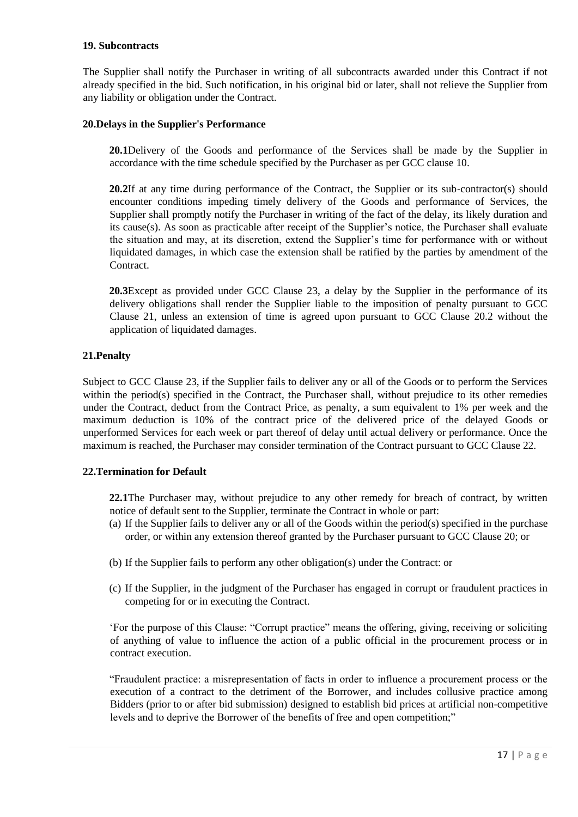### **19. Subcontracts**

The Supplier shall notify the Purchaser in writing of all subcontracts awarded under this Contract if not already specified in the bid. Such notification, in his original bid or later, shall not relieve the Supplier from any liability or obligation under the Contract.

### **20.Delays in the Supplier's Performance**

**20.1**Delivery of the Goods and performance of the Services shall be made by the Supplier in accordance with the time schedule specified by the Purchaser as per GCC clause 10.

20.2If at any time during performance of the Contract, the Supplier or its sub-contractor(s) should encounter conditions impeding timely delivery of the Goods and performance of Services, the Supplier shall promptly notify the Purchaser in writing of the fact of the delay, its likely duration and its cause(s). As soon as practicable after receipt of the Supplier"s notice, the Purchaser shall evaluate the situation and may, at its discretion, extend the Supplier"s time for performance with or without liquidated damages, in which case the extension shall be ratified by the parties by amendment of the **Contract** 

**20.3**Except as provided under GCC Clause 23, a delay by the Supplier in the performance of its delivery obligations shall render the Supplier liable to the imposition of penalty pursuant to GCC Clause 21, unless an extension of time is agreed upon pursuant to GCC Clause 20.2 without the application of liquidated damages.

### **21.Penalty**

Subject to GCC Clause 23, if the Supplier fails to deliver any or all of the Goods or to perform the Services within the period(s) specified in the Contract, the Purchaser shall, without prejudice to its other remedies under the Contract, deduct from the Contract Price, as penalty, a sum equivalent to 1% per week and the maximum deduction is 10% of the contract price of the delivered price of the delayed Goods or unperformed Services for each week or part thereof of delay until actual delivery or performance. Once the maximum is reached, the Purchaser may consider termination of the Contract pursuant to GCC Clause 22.

#### **22.Termination for Default**

**22.1**The Purchaser may, without prejudice to any other remedy for breach of contract, by written notice of default sent to the Supplier, terminate the Contract in whole or part:

- (a) If the Supplier fails to deliver any or all of the Goods within the period(s) specified in the purchase order, or within any extension thereof granted by the Purchaser pursuant to GCC Clause 20; or
- (b) If the Supplier fails to perform any other obligation(s) under the Contract: or
- (c) If the Supplier, in the judgment of the Purchaser has engaged in corrupt or fraudulent practices in competing for or in executing the Contract.

"For the purpose of this Clause: "Corrupt practice" means the offering, giving, receiving or soliciting of anything of value to influence the action of a public official in the procurement process or in contract execution.

"Fraudulent practice: a misrepresentation of facts in order to influence a procurement process or the execution of a contract to the detriment of the Borrower, and includes collusive practice among Bidders (prior to or after bid submission) designed to establish bid prices at artificial non-competitive levels and to deprive the Borrower of the benefits of free and open competition;"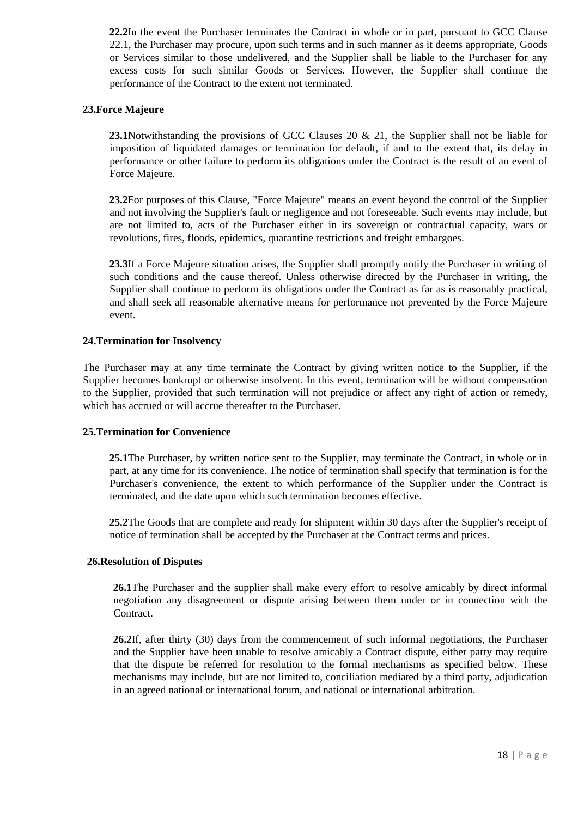**22.2**In the event the Purchaser terminates the Contract in whole or in part, pursuant to GCC Clause 22.1, the Purchaser may procure, upon such terms and in such manner as it deems appropriate, Goods or Services similar to those undelivered, and the Supplier shall be liable to the Purchaser for any excess costs for such similar Goods or Services. However, the Supplier shall continue the performance of the Contract to the extent not terminated.

### **23.Force Majeure**

**23.1**Notwithstanding the provisions of GCC Clauses 20 & 21, the Supplier shall not be liable for imposition of liquidated damages or termination for default, if and to the extent that, its delay in performance or other failure to perform its obligations under the Contract is the result of an event of Force Majeure.

**23.2**For purposes of this Clause, "Force Majeure" means an event beyond the control of the Supplier and not involving the Supplier's fault or negligence and not foreseeable. Such events may include, but are not limited to, acts of the Purchaser either in its sovereign or contractual capacity, wars or revolutions, fires, floods, epidemics, quarantine restrictions and freight embargoes.

**23.3**If a Force Majeure situation arises, the Supplier shall promptly notify the Purchaser in writing of such conditions and the cause thereof. Unless otherwise directed by the Purchaser in writing, the Supplier shall continue to perform its obligations under the Contract as far as is reasonably practical, and shall seek all reasonable alternative means for performance not prevented by the Force Majeure event.

### **24.Termination for Insolvency**

The Purchaser may at any time terminate the Contract by giving written notice to the Supplier, if the Supplier becomes bankrupt or otherwise insolvent. In this event, termination will be without compensation to the Supplier, provided that such termination will not prejudice or affect any right of action or remedy, which has accrued or will accrue thereafter to the Purchaser.

#### **25.Termination for Convenience**

**25.1**The Purchaser, by written notice sent to the Supplier, may terminate the Contract, in whole or in part, at any time for its convenience. The notice of termination shall specify that termination is for the Purchaser's convenience, the extent to which performance of the Supplier under the Contract is terminated, and the date upon which such termination becomes effective.

**25.2**The Goods that are complete and ready for shipment within 30 days after the Supplier's receipt of notice of termination shall be accepted by the Purchaser at the Contract terms and prices.

#### **26.Resolution of Disputes**

**26.1**The Purchaser and the supplier shall make every effort to resolve amicably by direct informal negotiation any disagreement or dispute arising between them under or in connection with the Contract.

**26.2**If, after thirty (30) days from the commencement of such informal negotiations, the Purchaser and the Supplier have been unable to resolve amicably a Contract dispute, either party may require that the dispute be referred for resolution to the formal mechanisms as specified below. These mechanisms may include, but are not limited to, conciliation mediated by a third party, adjudication in an agreed national or international forum, and national or international arbitration.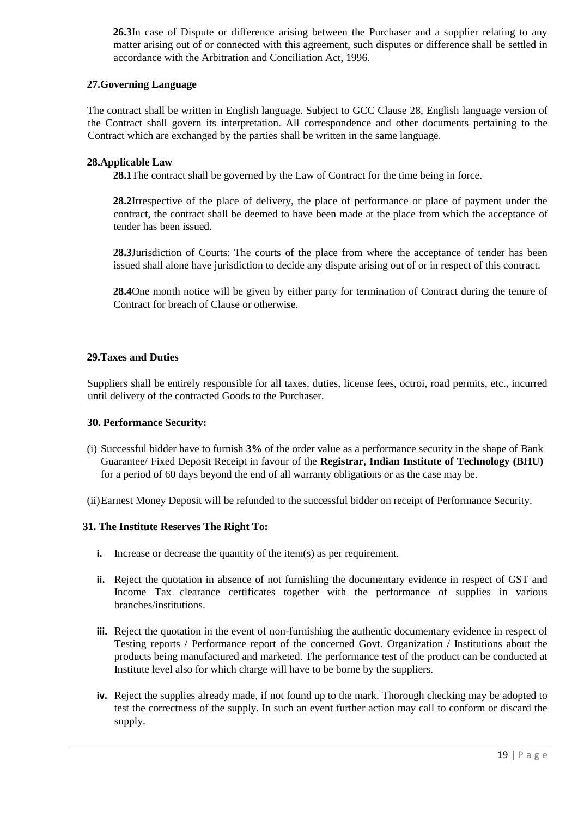**26.3**In case of Dispute or difference arising between the Purchaser and a supplier relating to any matter arising out of or connected with this agreement, such disputes or difference shall be settled in accordance with the Arbitration and Conciliation Act, 1996.

### **27.Governing Language**

The contract shall be written in English language. Subject to GCC Clause 28, English language version of the Contract shall govern its interpretation. All correspondence and other documents pertaining to the Contract which are exchanged by the parties shall be written in the same language.

## **28.Applicable Law**

**28.1**The contract shall be governed by the Law of Contract for the time being in force.

**28.2**Irrespective of the place of delivery, the place of performance or place of payment under the contract, the contract shall be deemed to have been made at the place from which the acceptance of tender has been issued.

**28.3**Jurisdiction of Courts: The courts of the place from where the acceptance of tender has been issued shall alone have jurisdiction to decide any dispute arising out of or in respect of this contract.

**28.4**One month notice will be given by either party for termination of Contract during the tenure of Contract for breach of Clause or otherwise.

### **29.Taxes and Duties**

Suppliers shall be entirely responsible for all taxes, duties, license fees, octroi, road permits, etc., incurred until delivery of the contracted Goods to the Purchaser.

#### **30. Performance Security:**

- (i) Successful bidder have to furnish **3%** of the order value as a performance security in the shape of Bank Guarantee/ Fixed Deposit Receipt in favour of the **Registrar, Indian Institute of Technology (BHU)** for a period of 60 days beyond the end of all warranty obligations or as the case may be.
- (ii)Earnest Money Deposit will be refunded to the successful bidder on receipt of Performance Security.

#### **31. The Institute Reserves The Right To:**

- **i.** Increase or decrease the quantity of the item(s) as per requirement.
- **ii.** Reject the quotation in absence of not furnishing the documentary evidence in respect of GST and Income Tax clearance certificates together with the performance of supplies in various branches/institutions.
- **iii.** Reject the quotation in the event of non-furnishing the authentic documentary evidence in respect of Testing reports / Performance report of the concerned Govt. Organization / Institutions about the products being manufactured and marketed. The performance test of the product can be conducted at Institute level also for which charge will have to be borne by the suppliers.
- **iv.** Reject the supplies already made, if not found up to the mark. Thorough checking may be adopted to test the correctness of the supply. In such an event further action may call to conform or discard the supply.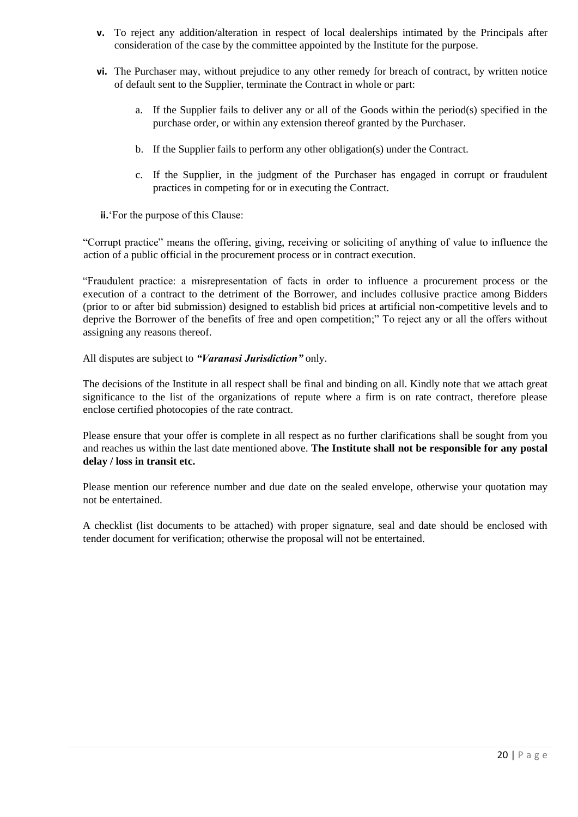- **v.** To reject any addition/alteration in respect of local dealerships intimated by the Principals after consideration of the case by the committee appointed by the Institute for the purpose.
- **vi.** The Purchaser may, without prejudice to any other remedy for breach of contract, by written notice of default sent to the Supplier, terminate the Contract in whole or part:
	- a. If the Supplier fails to deliver any or all of the Goods within the period(s) specified in the purchase order, or within any extension thereof granted by the Purchaser.
	- b. If the Supplier fails to perform any other obligation(s) under the Contract.
	- c. If the Supplier, in the judgment of the Purchaser has engaged in corrupt or fraudulent practices in competing for or in executing the Contract.

**ii.** 'For the purpose of this Clause:

"Corrupt practice" means the offering, giving, receiving or soliciting of anything of value to influence the action of a public official in the procurement process or in contract execution.

"Fraudulent practice: a misrepresentation of facts in order to influence a procurement process or the execution of a contract to the detriment of the Borrower, and includes collusive practice among Bidders (prior to or after bid submission) designed to establish bid prices at artificial non-competitive levels and to deprive the Borrower of the benefits of free and open competition;" To reject any or all the offers without assigning any reasons thereof.

All disputes are subject to *"Varanasi Jurisdiction"* only.

The decisions of the Institute in all respect shall be final and binding on all. Kindly note that we attach great significance to the list of the organizations of repute where a firm is on rate contract, therefore please enclose certified photocopies of the rate contract.

Please ensure that your offer is complete in all respect as no further clarifications shall be sought from you and reaches us within the last date mentioned above. **The Institute shall not be responsible for any postal delay / loss in transit etc.**

Please mention our reference number and due date on the sealed envelope, otherwise your quotation may not be entertained.

A checklist (list documents to be attached) with proper signature, seal and date should be enclosed with tender document for verification; otherwise the proposal will not be entertained.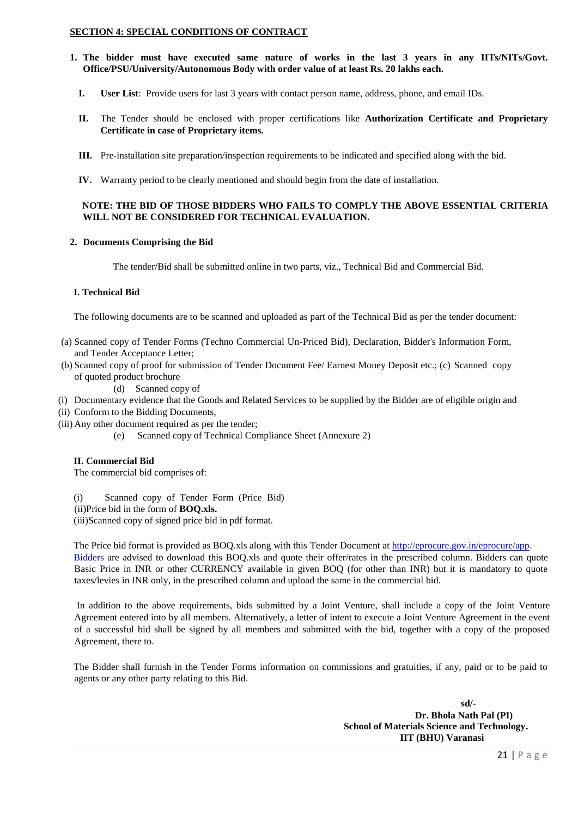#### **SECTION 4: SPECIAL CONDITIONS OF CONTRACT**

- **1. The bidder must have executed same nature of works in the last 3 years in any IITs/NITs/Govt. Office/PSU/University/Autonomous Body with order value of at least Rs. 20 lakhs each.** 
	- **I. User List**: Provide users for last 3 years with contact person name, address, phone, and email IDs.
	- **II.** The Tender should be enclosed with proper certifications like **Authorization Certificate and Proprietary Certificate in case of Proprietary items.**
	- **III.** Pre-installation site preparation/inspection requirements to be indicated and specified along with the bid.
	- **IV.** Warranty period to be clearly mentioned and should begin from the date of installation.

#### **NOTE: THE BID OF THOSE BIDDERS WHO FAILS TO COMPLY THE ABOVE ESSENTIAL CRITERIA WILL NOT BE CONSIDERED FOR TECHNICAL EVALUATION.**

#### **2. Documents Comprising the Bid**

The tender/Bid shall be submitted online in two parts, viz., Technical Bid and Commercial Bid.

#### **I. Technical Bid**

The following documents are to be scanned and uploaded as part of the Technical Bid as per the tender document:

- (a) Scanned copy of Tender Forms (Techno Commercial Un-Priced Bid), Declaration, Bidder's Information Form, and Tender Acceptance Letter;
- (b) Scanned copy of proof for submission of Tender Document Fee/ Earnest Money Deposit etc.; (c) Scanned copy of quoted product brochure

(d) Scanned copy of

- (i) Documentary evidence that the Goods and Related Services to be supplied by the Bidder are of eligible origin and
- (ii) Conform to the Bidding Documents,
- (iii) Any other document required as per the tender;
	- (e) Scanned copy of Technical Compliance Sheet (Annexure 2)

#### **II. Commercial Bid**

The commercial bid comprises of:

(i) Scanned copy of Tender Form (Price Bid)

(ii)Price bid in the form of **BOQ.xls.**

(iii)Scanned copy of signed price bid in pdf format.

The Price bid format is provided as BOQ.xls along with this Tender Document at http://eprocure.gov.in/eprocure/app. Bidders are advised to download this BOQ.xls and quote their offer/rates in the prescribed column. Bidders can quote Basic Price in INR or other CURRENCY available in given BOQ (for other than INR) but it is mandatory to quote taxes/levies in INR only, in the prescribed column and upload the same in the commercial bid.

In addition to the above requirements, bids submitted by a Joint Venture, shall include a copy of the Joint Venture Agreement entered into by all members. Alternatively, a letter of intent to execute a Joint Venture Agreement in the event of a successful bid shall be signed by all members and submitted with the bid, together with a copy of the proposed Agreement, there to.

The Bidder shall furnish in the Tender Forms information on commissions and gratuities, if any, paid or to be paid to agents or any other party relating to this Bid.

> **sd/- Dr. Bhola Nath Pal (PI) School of Materials Science and Technology. IIT (BHU) Varanasi**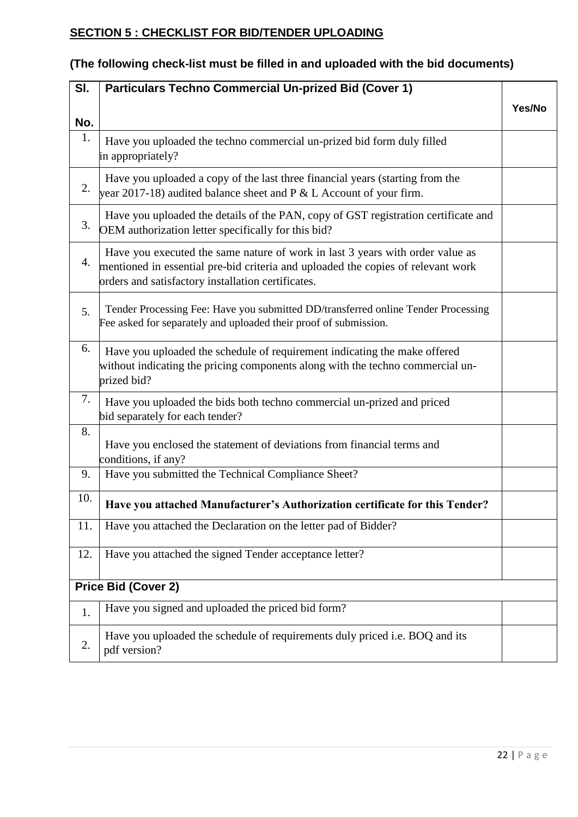# **SECTION 5 : CHECKLIST FOR BID/TENDER UPLOADING**

| SI. | <b>Particulars Techno Commercial Un-prized Bid (Cover 1)</b>                                                                                                                                                            |        |
|-----|-------------------------------------------------------------------------------------------------------------------------------------------------------------------------------------------------------------------------|--------|
| No. |                                                                                                                                                                                                                         | Yes/No |
| 1.  | Have you uploaded the techno commercial un-prized bid form duly filled<br>in appropriately?                                                                                                                             |        |
| 2.  | Have you uploaded a copy of the last three financial years (starting from the<br>year 2017-18) audited balance sheet and $P < L$ Account of your firm.                                                                  |        |
| 3.  | Have you uploaded the details of the PAN, copy of GST registration certificate and<br>OEM authorization letter specifically for this bid?                                                                               |        |
| 4.  | Have you executed the same nature of work in last 3 years with order value as<br>mentioned in essential pre-bid criteria and uploaded the copies of relevant work<br>orders and satisfactory installation certificates. |        |
| 5.  | Tender Processing Fee: Have you submitted DD/transferred online Tender Processing<br>Fee asked for separately and uploaded their proof of submission.                                                                   |        |
| 6.  | Have you uploaded the schedule of requirement indicating the make offered<br>without indicating the pricing components along with the techno commercial un-<br>prized bid?                                              |        |
| 7.  | Have you uploaded the bids both techno commercial un-prized and priced<br>bid separately for each tender?                                                                                                               |        |
| 8.  | Have you enclosed the statement of deviations from financial terms and<br>conditions, if any?                                                                                                                           |        |
| 9.  | Have you submitted the Technical Compliance Sheet?                                                                                                                                                                      |        |
| 10. | Have you attached Manufacturer's Authorization certificate for this Tender?                                                                                                                                             |        |
| 11. | Have you attached the Declaration on the letter pad of Bidder?                                                                                                                                                          |        |
| 12. | Have you attached the signed Tender acceptance letter?                                                                                                                                                                  |        |
|     | Price Bid (Cover 2)                                                                                                                                                                                                     |        |
| 1.  | Have you signed and uploaded the priced bid form?                                                                                                                                                                       |        |
| 2.  | Have you uploaded the schedule of requirements duly priced i.e. BOQ and its<br>pdf version?                                                                                                                             |        |

# **(The following check-list must be filled in and uploaded with the bid documents)**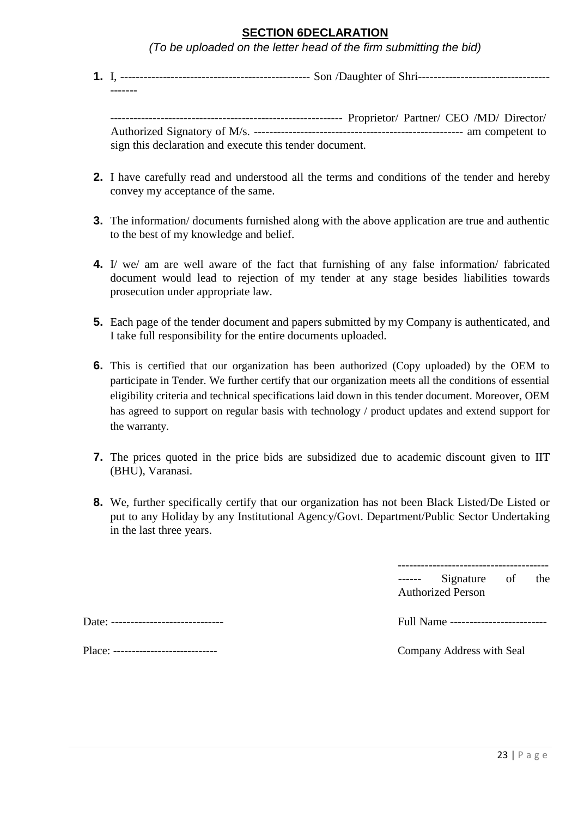## **SECTION 6DECLARATION**

*(To be uploaded on the letter head of the firm submitting the bid)* 

**1.** I, ------------------------------------------------- Son /Daughter of Shri---------------------------------- -------

------------------------------------------------------------ Proprietor/ Partner/ CEO /MD/ Director/ Authorized Signatory of M/s. ------------------------------------------------------ am competent to sign this declaration and execute this tender document.

- **2.** I have carefully read and understood all the terms and conditions of the tender and hereby convey my acceptance of the same.
- **3.** The information/ documents furnished along with the above application are true and authentic to the best of my knowledge and belief.
- **4.** I/ we/ am are well aware of the fact that furnishing of any false information/ fabricated document would lead to rejection of my tender at any stage besides liabilities towards prosecution under appropriate law.
- **5.** Each page of the tender document and papers submitted by my Company is authenticated, and I take full responsibility for the entire documents uploaded.
- **6.** This is certified that our organization has been authorized (Copy uploaded) by the OEM to participate in Tender. We further certify that our organization meets all the conditions of essential eligibility criteria and technical specifications laid down in this tender document. Moreover, OEM has agreed to support on regular basis with technology / product updates and extend support for the warranty.
- **7.** The prices quoted in the price bids are subsidized due to academic discount given to IIT (BHU), Varanasi.
- **8.** We, further specifically certify that our organization has not been Black Listed/De Listed or put to any Holiday by any Institutional Agency/Govt. Department/Public Sector Undertaking in the last three years.

------ Signature of the Authorized Person

Date: ----------------------------- Full Name -------------------------

Place: ---------------------------- Company Address with Seal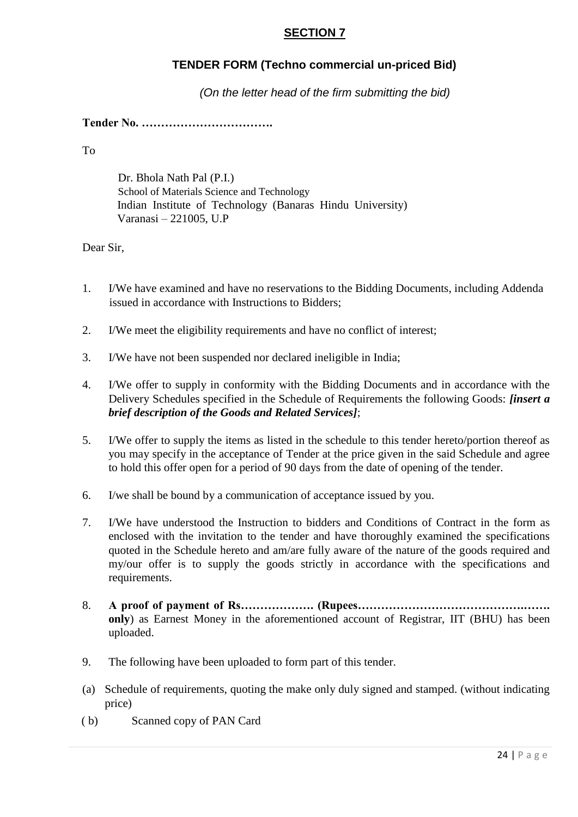## **SECTION 7**

## **TENDER FORM (Techno commercial un-priced Bid)**

*(On the letter head of the firm submitting the bid)* 

**Tender No. …………………………….** 

To

Dr. Bhola Nath Pal (P.I.) School of Materials Science and Technology Indian Institute of Technology (Banaras Hindu University) Varanasi – 221005, U.P

Dear Sir,

- 1. I/We have examined and have no reservations to the Bidding Documents, including Addenda issued in accordance with Instructions to Bidders;
- 2. I/We meet the eligibility requirements and have no conflict of interest;
- 3. I/We have not been suspended nor declared ineligible in India;
- 4. I/We offer to supply in conformity with the Bidding Documents and in accordance with the Delivery Schedules specified in the Schedule of Requirements the following Goods: *[insert a brief description of the Goods and Related Services]*;
- 5. I/We offer to supply the items as listed in the schedule to this tender hereto/portion thereof as you may specify in the acceptance of Tender at the price given in the said Schedule and agree to hold this offer open for a period of 90 days from the date of opening of the tender.
- 6. I/we shall be bound by a communication of acceptance issued by you.
- 7. I/We have understood the Instruction to bidders and Conditions of Contract in the form as enclosed with the invitation to the tender and have thoroughly examined the specifications quoted in the Schedule hereto and am/are fully aware of the nature of the goods required and my/our offer is to supply the goods strictly in accordance with the specifications and requirements.
- 8. **A proof of payment of Rs………………. (Rupees…………………………………….……. only**) as Earnest Money in the aforementioned account of Registrar, IIT (BHU) has been uploaded.
- 9. The following have been uploaded to form part of this tender.
- (a) Schedule of requirements, quoting the make only duly signed and stamped. (without indicating price)
- ( b) Scanned copy of PAN Card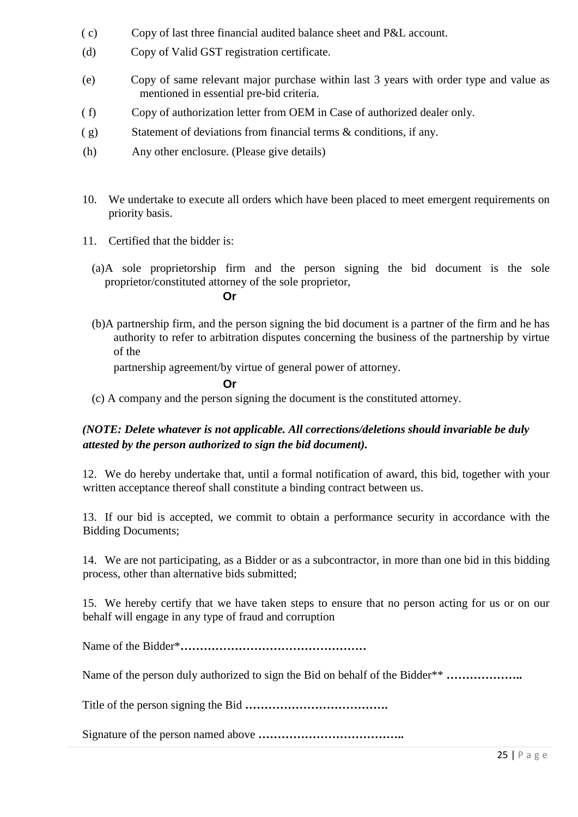- ( c) Copy of last three financial audited balance sheet and P&L account.
- (d) Copy of Valid GST registration certificate.
- (e) Copy of same relevant major purchase within last 3 years with order type and value as mentioned in essential pre-bid criteria.
- ( f) Copy of authorization letter from OEM in Case of authorized dealer only.
- $(g)$  Statement of deviations from financial terms  $\&$  conditions, if any.
- (h) Any other enclosure. (Please give details)
- 10. We undertake to execute all orders which have been placed to meet emergent requirements on priority basis.
- 11. Certified that the bidder is:
	- (a)A sole proprietorship firm and the person signing the bid document is the sole proprietor/constituted attorney of the sole proprietor,

## **Or**

(b)A partnership firm, and the person signing the bid document is a partner of the firm and he has authority to refer to arbitration disputes concerning the business of the partnership by virtue of the

partnership agreement/by virtue of general power of attorney.

## **Or**

(c) A company and the person signing the document is the constituted attorney.

## *(NOTE: Delete whatever is not applicable. All corrections/deletions should invariable be duly attested by the person authorized to sign the bid document).*

12. We do hereby undertake that, until a formal notification of award, this bid, together with your written acceptance thereof shall constitute a binding contract between us.

13. If our bid is accepted, we commit to obtain a performance security in accordance with the Bidding Documents;

14. We are not participating, as a Bidder or as a subcontractor, in more than one bid in this bidding process, other than alternative bids submitted;

15. We hereby certify that we have taken steps to ensure that no person acting for us or on our behalf will engage in any type of fraud and corruption

Name of the Bidder\***…………………………………………** 

Name of the person duly authorized to sign the Bid on behalf of the Bidder\*\* **………………..** 

Title of the person signing the Bid **……………………………….** 

Signature of the person named above **………………………………..**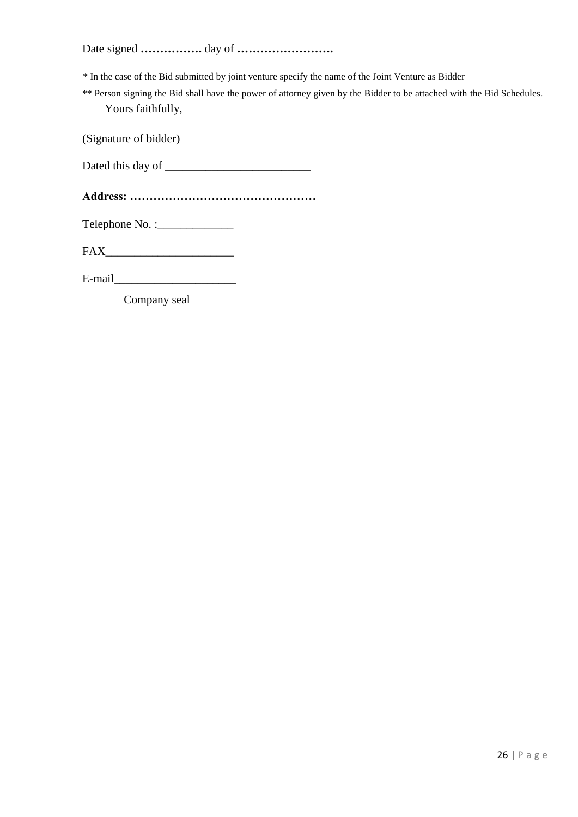Date signed **…………….** day of **…………………….** 

\* In the case of the Bid submitted by joint venture specify the name of the Joint Venture as Bidder

\*\* Person signing the Bid shall have the power of attorney given by the Bidder to be attached with the Bid Schedules. Yours faithfully,

(Signature of bidder)

Dated this day of \_\_\_\_\_\_\_\_\_\_\_\_\_\_\_\_\_\_\_\_\_\_\_\_\_

**Address: …………………………………………** 

Telephone No. :\_\_\_\_\_\_\_\_\_\_\_\_\_

FAX\_\_\_\_\_\_\_\_\_\_\_\_\_\_\_\_\_\_\_\_\_\_

 $E$ -mail $\Box$ 

Company seal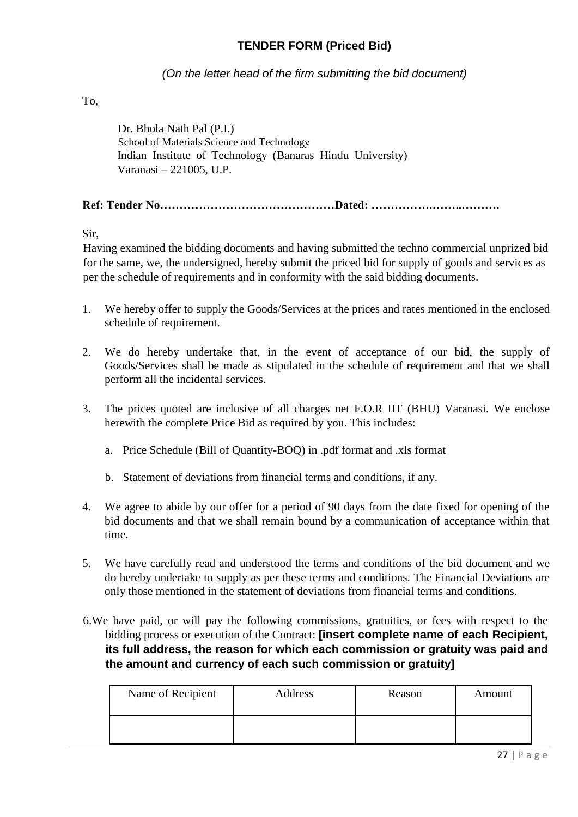## **TENDER FORM (Priced Bid)**

*(On the letter head of the firm submitting the bid document)* 

To,

Dr. Bhola Nath Pal (P.I.) School of Materials Science and Technology Indian Institute of Technology (Banaras Hindu University) Varanasi – 221005, U.P.

**Ref: Tender No………………………………………Dated: …………….……..……….** 

Sir,

Having examined the bidding documents and having submitted the techno commercial unprized bid for the same, we, the undersigned, hereby submit the priced bid for supply of goods and services as per the schedule of requirements and in conformity with the said bidding documents.

- 1. We hereby offer to supply the Goods/Services at the prices and rates mentioned in the enclosed schedule of requirement.
- 2. We do hereby undertake that, in the event of acceptance of our bid, the supply of Goods/Services shall be made as stipulated in the schedule of requirement and that we shall perform all the incidental services.
- 3. The prices quoted are inclusive of all charges net F.O.R IIT (BHU) Varanasi. We enclose herewith the complete Price Bid as required by you. This includes:
	- a. Price Schedule (Bill of Quantity-BOQ) in .pdf format and .xls format
	- b. Statement of deviations from financial terms and conditions, if any.
- 4. We agree to abide by our offer for a period of 90 days from the date fixed for opening of the bid documents and that we shall remain bound by a communication of acceptance within that time.
- 5. We have carefully read and understood the terms and conditions of the bid document and we do hereby undertake to supply as per these terms and conditions. The Financial Deviations are only those mentioned in the statement of deviations from financial terms and conditions.
- 6.We have paid, or will pay the following commissions, gratuities, or fees with respect to the bidding process or execution of the Contract: **[insert complete name of each Recipient, its full address, the reason for which each commission or gratuity was paid and the amount and currency of each such commission or gratuity]**

| Name of Recipient | Address | Reason | Amount |
|-------------------|---------|--------|--------|
|                   |         |        |        |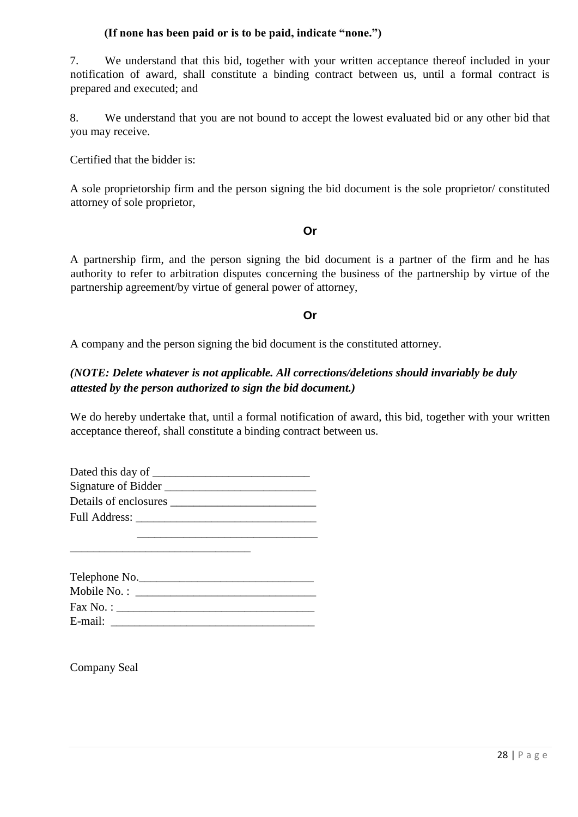## **(If none has been paid or is to be paid, indicate "none.")**

7. We understand that this bid, together with your written acceptance thereof included in your notification of award, shall constitute a binding contract between us, until a formal contract is prepared and executed; and

8. We understand that you are not bound to accept the lowest evaluated bid or any other bid that you may receive.

Certified that the bidder is:

A sole proprietorship firm and the person signing the bid document is the sole proprietor/ constituted attorney of sole proprietor,

## **Or**

A partnership firm, and the person signing the bid document is a partner of the firm and he has authority to refer to arbitration disputes concerning the business of the partnership by virtue of the partnership agreement/by virtue of general power of attorney,

## **Or**

A company and the person signing the bid document is the constituted attorney.

## *(NOTE: Delete whatever is not applicable. All corrections/deletions should invariably be duly attested by the person authorized to sign the bid document.)*

We do hereby undertake that, until a formal notification of award, this bid, together with your written acceptance thereof, shall constitute a binding contract between us.

| Dated this day of ____ |
|------------------------|
| Signature of Bidder    |
| Details of enclosures  |
| Full Address:          |
|                        |

\_\_\_\_\_\_\_\_\_\_\_\_\_\_\_\_\_\_\_\_\_\_\_\_\_\_\_\_\_\_\_

|             | Telephone No.       |  |
|-------------|---------------------|--|
| Mobile No.: |                     |  |
|             | $\text{Fax No. : }$ |  |
| E-mail:     |                     |  |

Company Seal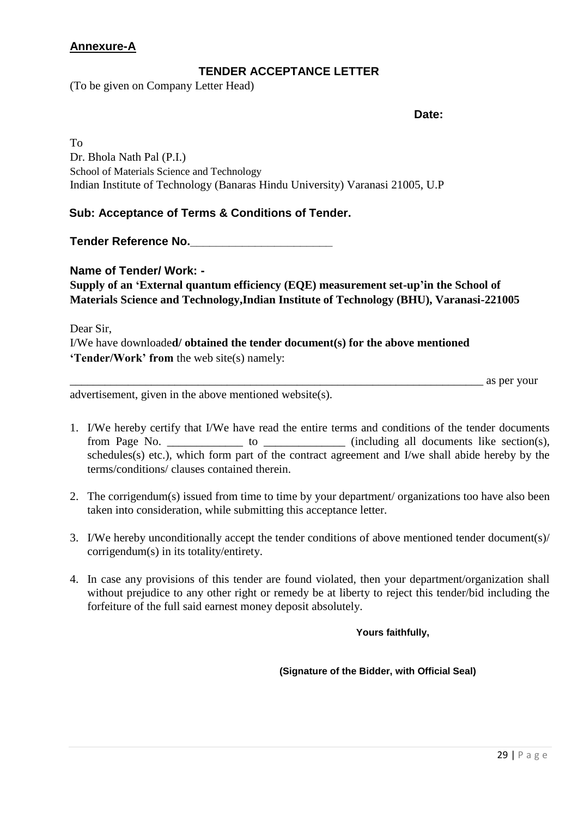## **Annexure-A**

## **TENDER ACCEPTANCE LETTER**

(To be given on Company Letter Head)

**Date:** 

To Dr. Bhola Nath Pal (P.I.) School of Materials Science and Technology Indian Institute of Technology (Banaras Hindu University) Varanasi 21005, U.P

## **Sub: Acceptance of Terms & Conditions of Tender.**

**Tender Reference No.\_\_\_\_\_\_\_\_\_\_\_\_\_\_\_\_\_\_\_\_\_\_** 

**Name of Tender/ Work: - Supply of an "External quantum efficiency (EQE) measurement set-up"in the School of Materials Science and Technology,Indian Institute of Technology (BHU), Varanasi-221005** 

Dear Sir, I/We have downloade**d/ obtained the tender document(s) for the above mentioned "Tender/Work" from** the web site(s) namely:

\_\_\_\_\_\_\_\_\_\_\_\_\_\_\_\_\_\_\_\_\_\_\_\_\_\_\_\_\_\_\_\_\_\_\_\_\_\_\_\_\_\_\_\_\_\_\_\_\_\_\_\_\_\_\_\_\_\_\_\_\_\_\_\_\_\_\_\_\_\_\_ as per your

advertisement, given in the above mentioned website(s).

- 1. I/We hereby certify that I/We have read the entire terms and conditions of the tender documents from Page No. \_\_\_\_\_\_\_\_\_\_\_\_\_ to \_\_\_\_\_\_\_\_\_\_\_\_ (including all documents like section(s), schedules(s) etc.), which form part of the contract agreement and I/we shall abide hereby by the terms/conditions/ clauses contained therein.
- 2. The corrigendum(s) issued from time to time by your department/ organizations too have also been taken into consideration, while submitting this acceptance letter.
- 3. I/We hereby unconditionally accept the tender conditions of above mentioned tender document(s)/ corrigendum(s) in its totality/entirety.
- 4. In case any provisions of this tender are found violated, then your department/organization shall without prejudice to any other right or remedy be at liberty to reject this tender/bid including the forfeiture of the full said earnest money deposit absolutely.

**Yours faithfully,** 

**(Signature of the Bidder, with Official Seal)**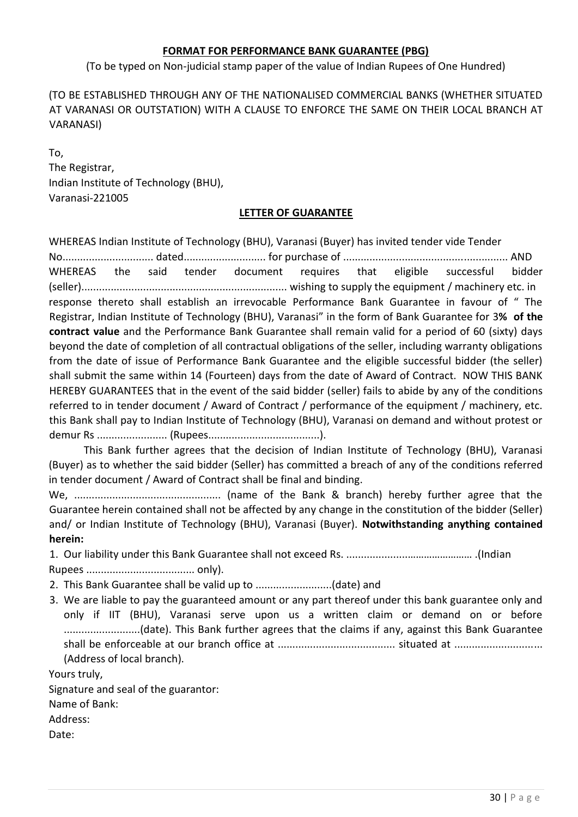## **FORMAT FOR PERFORMANCE BANK GUARANTEE (PBG)**

(To be typed on Non-judicial stamp paper of the value of Indian Rupees of One Hundred)

(TO BE ESTABLISHED THROUGH ANY OF THE NATIONALISED COMMERCIAL BANKS (WHETHER SITUATED AT VARANASI OR OUTSTATION) WITH A CLAUSE TO ENFORCE THE SAME ON THEIR LOCAL BRANCH AT VARANASI)

To, The Registrar, Indian Institute of Technology (BHU), Varanasi-221005

## **LETTER OF GUARANTEE**

WHEREAS Indian Institute of Technology (BHU), Varanasi (Buyer) has invited tender vide Tender No............................... dated............................ for purchase of ........................................................ AND WHEREAS the said tender document requires that eligible successful bidder (seller)...................................................................... wishing to supply the equipment / machinery etc. in response thereto shall establish an irrevocable Performance Bank Guarantee in favour of " The Registrar, Indian Institute of Technology (BHU), Varanasi" in the form of Bank Guarantee for 3**% of the contract value** and the Performance Bank Guarantee shall remain valid for a period of 60 (sixty) days beyond the date of completion of all contractual obligations of the seller, including warranty obligations from the date of issue of Performance Bank Guarantee and the eligible successful bidder (the seller) shall submit the same within 14 (Fourteen) days from the date of Award of Contract. NOW THIS BANK HEREBY GUARANTEES that in the event of the said bidder (seller) fails to abide by any of the conditions referred to in tender document / Award of Contract / performance of the equipment / machinery, etc. this Bank shall pay to Indian Institute of Technology (BHU), Varanasi on demand and without protest or demur Rs ........................ (Rupees......................................).

This Bank further agrees that the decision of Indian Institute of Technology (BHU), Varanasi (Buyer) as to whether the said bidder (Seller) has committed a breach of any of the conditions referred in tender document / Award of Contract shall be final and binding.

We, .................................................. (name of the Bank & branch) hereby further agree that the Guarantee herein contained shall not be affected by any change in the constitution of the bidder (Seller) and/ or Indian Institute of Technology (BHU), Varanasi (Buyer). **Notwithstanding anything contained herein:**

1. Our liability under this Bank Guarantee shall not exceed Rs. .....................…………………… .(Indian Rupees ..................................... only).

- 2. This Bank Guarantee shall be valid up to ..........................(date) and
- 3. We are liable to pay the guaranteed amount or any part thereof under this bank guarantee only and only if IIT (BHU), Varanasi serve upon us a written claim or demand on or before ..........................(date). This Bank further agrees that the claims if any, against this Bank Guarantee shall be enforceable at our branch office at ........................................ situated at .............................. (Address of local branch).

Yours truly,

Signature and seal of the guarantor:

Name of Bank:

Address:

Date: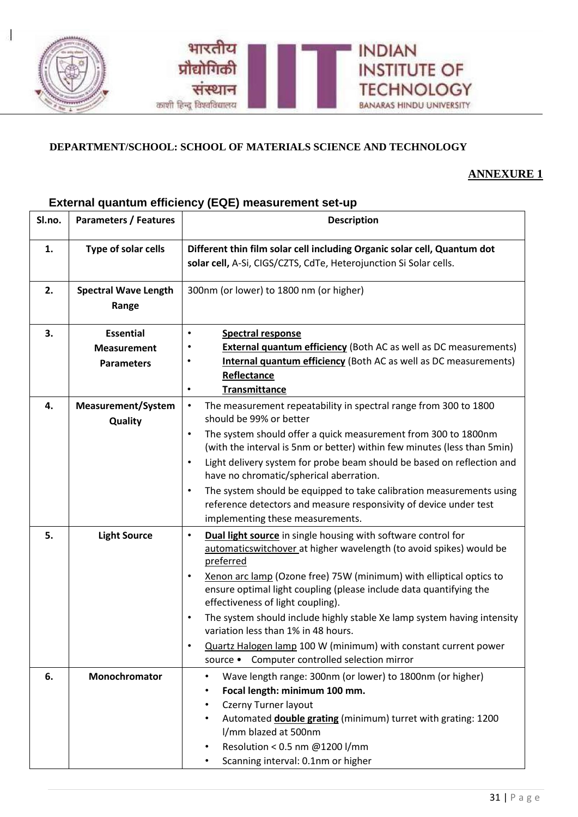

## **DEPARTMENT/SCHOOL: SCHOOL OF MATERIALS SCIENCE AND TECHNOLOGY**

## **ANNEXURE 1**

## **External quantum efficiency (EQE) measurement set-up**

| Sl.no. | <b>Parameters / Features</b>                                | <b>Description</b>                                                                                                                                                                                                                                                                                                                                                                                                                                                                                                                                                                                                  |
|--------|-------------------------------------------------------------|---------------------------------------------------------------------------------------------------------------------------------------------------------------------------------------------------------------------------------------------------------------------------------------------------------------------------------------------------------------------------------------------------------------------------------------------------------------------------------------------------------------------------------------------------------------------------------------------------------------------|
| 1.     | Type of solar cells                                         | Different thin film solar cell including Organic solar cell, Quantum dot<br>solar cell, A-Si, CIGS/CZTS, CdTe, Heterojunction Si Solar cells.                                                                                                                                                                                                                                                                                                                                                                                                                                                                       |
| 2.     | <b>Spectral Wave Length</b><br>Range                        | 300nm (or lower) to 1800 nm (or higher)                                                                                                                                                                                                                                                                                                                                                                                                                                                                                                                                                                             |
| 3.     | <b>Essential</b><br><b>Measurement</b><br><b>Parameters</b> | <b>Spectral response</b><br><b>External quantum efficiency</b> (Both AC as well as DC measurements)<br><b>Internal quantum efficiency</b> (Both AC as well as DC measurements)<br>Reflectance<br><b>Transmittance</b><br>$\bullet$                                                                                                                                                                                                                                                                                                                                                                                  |
| 4.     | <b>Measurement/System</b><br>Quality                        | The measurement repeatability in spectral range from 300 to 1800<br>$\bullet$<br>should be 99% or better<br>The system should offer a quick measurement from 300 to 1800nm<br>$\bullet$<br>(with the interval is 5nm or better) within few minutes (less than 5min)<br>Light delivery system for probe beam should be based on reflection and<br>$\bullet$<br>have no chromatic/spherical aberration.<br>The system should be equipped to take calibration measurements using<br>$\bullet$<br>reference detectors and measure responsivity of device under test<br>implementing these measurements.                 |
| 5.     | <b>Light Source</b>                                         | Dual light source in single housing with software control for<br>$\bullet$<br>automaticswitchover at higher wavelength (to avoid spikes) would be<br>preferred<br>Xenon arc lamp (Ozone free) 75W (minimum) with elliptical optics to<br>$\bullet$<br>ensure optimal light coupling (please include data quantifying the<br>effectiveness of light coupling).<br>The system should include highly stable Xe lamp system having intensity<br>$\bullet$<br>variation less than 1% in 48 hours.<br>Quartz Halogen lamp 100 W (minimum) with constant current power<br>Computer controlled selection mirror<br>source • |
| 6.     | Monochromator                                               | Wave length range: 300nm (or lower) to 1800nm (or higher)<br>$\bullet$<br>Focal length: minimum 100 mm.<br>٠<br>Czerny Turner layout<br>$\bullet$<br>Automated <b>double grating</b> (minimum) turret with grating: 1200<br>٠<br>I/mm blazed at 500nm<br>Resolution < 0.5 nm @1200 l/mm<br>٠<br>Scanning interval: 0.1nm or higher<br>$\bullet$                                                                                                                                                                                                                                                                     |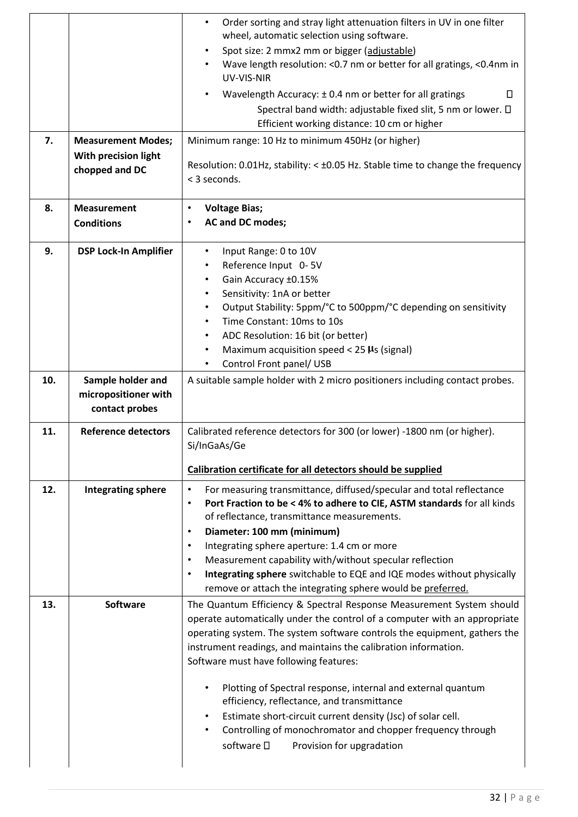|     |                              | Order sorting and stray light attenuation filters in UV in one filter<br>wheel, automatic selection using software.                                                                                                                                                                               |
|-----|------------------------------|---------------------------------------------------------------------------------------------------------------------------------------------------------------------------------------------------------------------------------------------------------------------------------------------------|
|     |                              | Spot size: 2 mmx2 mm or bigger (adjustable)                                                                                                                                                                                                                                                       |
|     |                              | Wave length resolution: < 0.7 nm or better for all gratings, < 0.4nm in<br>UV-VIS-NIR                                                                                                                                                                                                             |
|     |                              | Wavelength Accuracy: ±0.4 nm or better for all gratings<br>П                                                                                                                                                                                                                                      |
|     |                              | Spectral band width: adjustable fixed slit, 5 nm or lower. $\Box$                                                                                                                                                                                                                                 |
|     |                              | Efficient working distance: 10 cm or higher                                                                                                                                                                                                                                                       |
| 7.  | <b>Measurement Modes;</b>    | Minimum range: 10 Hz to minimum 450Hz (or higher)                                                                                                                                                                                                                                                 |
|     | With precision light         | Resolution: 0.01Hz, stability: < ±0.05 Hz. Stable time to change the frequency                                                                                                                                                                                                                    |
|     | chopped and DC               | < 3 seconds.                                                                                                                                                                                                                                                                                      |
| 8.  | <b>Measurement</b>           | <b>Voltage Bias;</b><br>$\bullet$                                                                                                                                                                                                                                                                 |
|     | <b>Conditions</b>            | AC and DC modes;<br>$\bullet$                                                                                                                                                                                                                                                                     |
| 9.  | <b>DSP Lock-In Amplifier</b> | Input Range: 0 to 10V<br>$\bullet$                                                                                                                                                                                                                                                                |
|     |                              | Reference Input 0-5V                                                                                                                                                                                                                                                                              |
|     |                              | Gain Accuracy ±0.15%<br>٠                                                                                                                                                                                                                                                                         |
|     |                              | Sensitivity: 1nA or better                                                                                                                                                                                                                                                                        |
|     |                              | Output Stability: 5ppm/°C to 500ppm/°C depending on sensitivity<br>$\bullet$<br>Time Constant: 10ms to 10s                                                                                                                                                                                        |
|     |                              | ADC Resolution: 16 bit (or better)                                                                                                                                                                                                                                                                |
|     |                              | Maximum acquisition speed < $25 \text{ }\mu\text{s}$ (signal)                                                                                                                                                                                                                                     |
|     |                              | Control Front panel/ USB                                                                                                                                                                                                                                                                          |
| 10. | Sample holder and            | A suitable sample holder with 2 micro positioners including contact probes.                                                                                                                                                                                                                       |
|     | micropositioner with         |                                                                                                                                                                                                                                                                                                   |
|     | contact probes               |                                                                                                                                                                                                                                                                                                   |
| 11. | <b>Reference detectors</b>   | Calibrated reference detectors for 300 (or lower) -1800 nm (or higher).<br>Si/InGaAs/Ge                                                                                                                                                                                                           |
|     |                              | Calibration certificate for all detectors should be supplied                                                                                                                                                                                                                                      |
| 12. | <b>Integrating sphere</b>    | For measuring transmittance, diffused/specular and total reflectance<br>$\bullet$                                                                                                                                                                                                                 |
|     |                              | Port Fraction to be < 4% to adhere to CIE, ASTM standards for all kinds<br>$\bullet$                                                                                                                                                                                                              |
|     |                              | of reflectance, transmittance measurements.<br>Diameter: 100 mm (minimum)<br>$\bullet$                                                                                                                                                                                                            |
|     |                              | Integrating sphere aperture: 1.4 cm or more<br>$\bullet$                                                                                                                                                                                                                                          |
|     |                              | Measurement capability with/without specular reflection<br>$\bullet$                                                                                                                                                                                                                              |
|     |                              | Integrating sphere switchable to EQE and IQE modes without physically<br>$\bullet$                                                                                                                                                                                                                |
|     |                              | remove or attach the integrating sphere would be preferred.                                                                                                                                                                                                                                       |
| 13. | <b>Software</b>              | The Quantum Efficiency & Spectral Response Measurement System should<br>operate automatically under the control of a computer with an appropriate<br>operating system. The system software controls the equipment, gathers the<br>instrument readings, and maintains the calibration information. |
|     |                              | Software must have following features:                                                                                                                                                                                                                                                            |
|     |                              | Plotting of Spectral response, internal and external quantum<br>$\bullet$<br>efficiency, reflectance, and transmittance                                                                                                                                                                           |
|     |                              | Estimate short-circuit current density (Jsc) of solar cell.<br>Controlling of monochromator and chopper frequency through<br>software D<br>Provision for upgradation                                                                                                                              |
|     |                              |                                                                                                                                                                                                                                                                                                   |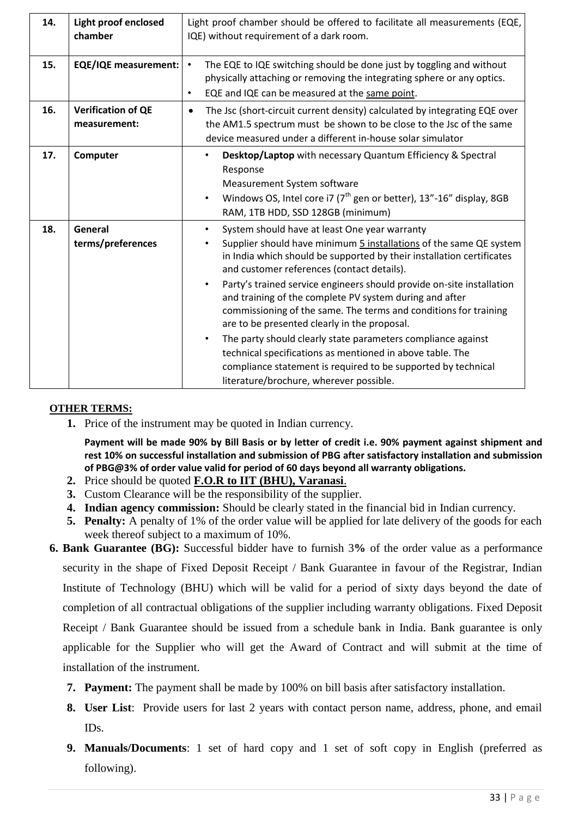| 14. | <b>Light proof enclosed</b><br>chamber    | Light proof chamber should be offered to facilitate all measurements (EQE,<br>IQE) without requirement of a dark room.                                                                                                                                                                                                                                                                                                                                                                                                                                                                                                                                                                                                                                   |
|-----|-------------------------------------------|----------------------------------------------------------------------------------------------------------------------------------------------------------------------------------------------------------------------------------------------------------------------------------------------------------------------------------------------------------------------------------------------------------------------------------------------------------------------------------------------------------------------------------------------------------------------------------------------------------------------------------------------------------------------------------------------------------------------------------------------------------|
| 15. | <b>EQE/IQE measurement:</b>               | The EQE to IQE switching should be done just by toggling and without<br>$\bullet$<br>physically attaching or removing the integrating sphere or any optics.<br>EQE and IQE can be measured at the same point.<br>$\bullet$                                                                                                                                                                                                                                                                                                                                                                                                                                                                                                                               |
| 16. | <b>Verification of QE</b><br>measurement: | The Jsc (short-circuit current density) calculated by integrating EQE over<br>$\bullet$<br>the AM1.5 spectrum must be shown to be close to the Jsc of the same<br>device measured under a different in-house solar simulator                                                                                                                                                                                                                                                                                                                                                                                                                                                                                                                             |
| 17. | Computer                                  | Desktop/Laptop with necessary Quantum Efficiency & Spectral<br>$\bullet$<br>Response<br>Measurement System software<br>Windows OS, Intel core i7 ( $7th$ gen or better), 13"-16" display, 8GB<br>$\bullet$<br>RAM, 1TB HDD, SSD 128GB (minimum)                                                                                                                                                                                                                                                                                                                                                                                                                                                                                                          |
| 18. | General<br>terms/preferences              | System should have at least One year warranty<br>Supplier should have minimum 5 installations of the same QE system<br>in India which should be supported by their installation certificates<br>and customer references (contact details).<br>Party's trained service engineers should provide on-site installation<br>and training of the complete PV system during and after<br>commissioning of the same. The terms and conditions for training<br>are to be presented clearly in the proposal.<br>The party should clearly state parameters compliance against<br>$\bullet$<br>technical specifications as mentioned in above table. The<br>compliance statement is required to be supported by technical<br>literature/brochure, wherever possible. |

## **OTHER TERMS:**

**1.** Price of the instrument may be quoted in Indian currency.

**Payment will be made 90% by Bill Basis or by letter of credit i.e. 90% payment against shipment and rest 10% on successful installation and submission of PBG after satisfactory installation and submission of PBG@3% of order value valid for period of 60 days beyond all warranty obligations.** 

- **2.** Price should be quoted **F.O.R to IIT (BHU), Varanasi**.
- **3.** Custom Clearance will be the responsibility of the supplier.
- **4. Indian agency commission:** Should be clearly stated in the financial bid in Indian currency.
- **5. Penalty:** A penalty of 1% of the order value will be applied for late delivery of the goods for each week thereof subject to a maximum of 10%.
- **6. Bank Guarantee (BG):** Successful bidder have to furnish 3**%** of the order value as a performance security in the shape of Fixed Deposit Receipt / Bank Guarantee in favour of the Registrar, Indian Institute of Technology (BHU) which will be valid for a period of sixty days beyond the date of completion of all contractual obligations of the supplier including warranty obligations. Fixed Deposit Receipt / Bank Guarantee should be issued from a schedule bank in India. Bank guarantee is only applicable for the Supplier who will get the Award of Contract and will submit at the time of installation of the instrument.
	- **7. Payment:** The payment shall be made by 100% on bill basis after satisfactory installation.
	- **8. User List**: Provide users for last 2 years with contact person name, address, phone, and email IDs.
	- **9. Manuals/Documents**: 1 set of hard copy and 1 set of soft copy in English (preferred as following).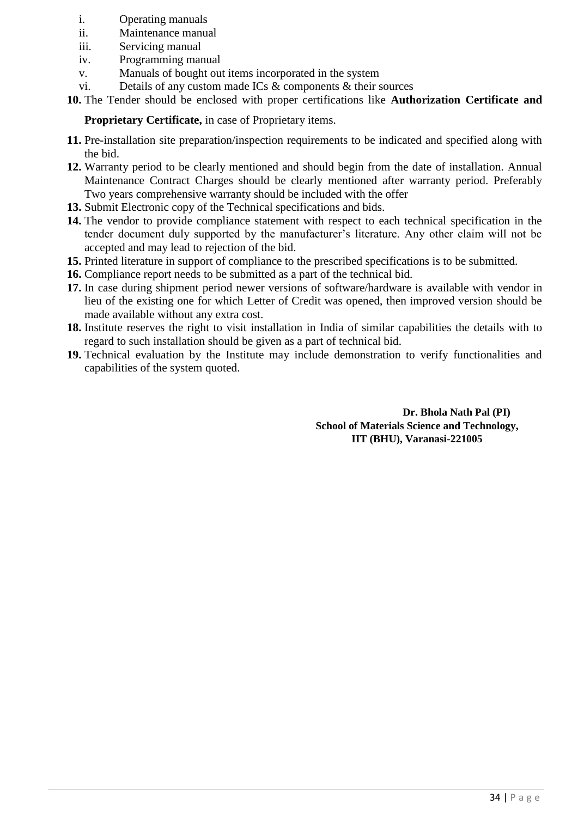- i. Operating manuals
- ii. Maintenance manual
- iii. Servicing manual
- iv. Programming manual
- v. Manuals of bought out items incorporated in the system
- vi. Details of any custom made ICs & components & their sources
- **10.** The Tender should be enclosed with proper certifications like **Authorization Certificate and**

**Proprietary Certificate,** in case of Proprietary items.

- **11.** Pre-installation site preparation/inspection requirements to be indicated and specified along with the bid.
- **12.** Warranty period to be clearly mentioned and should begin from the date of installation. Annual Maintenance Contract Charges should be clearly mentioned after warranty period. Preferably Two years comprehensive warranty should be included with the offer
- **13.** Submit Electronic copy of the Technical specifications and bids.
- **14.** The vendor to provide compliance statement with respect to each technical specification in the tender document duly supported by the manufacturer"s literature. Any other claim will not be accepted and may lead to rejection of the bid.
- **15.** Printed literature in support of compliance to the prescribed specifications is to be submitted.
- **16.** Compliance report needs to be submitted as a part of the technical bid.
- **17.** In case during shipment period newer versions of software/hardware is available with vendor in lieu of the existing one for which Letter of Credit was opened, then improved version should be made available without any extra cost.
- **18.** Institute reserves the right to visit installation in India of similar capabilities the details with to regard to such installation should be given as a part of technical bid.
- **19.** Technical evaluation by the Institute may include demonstration to verify functionalities and capabilities of the system quoted.

**Dr. Bhola Nath Pal (PI) School of Materials Science and Technology, IIT (BHU), Varanasi-221005**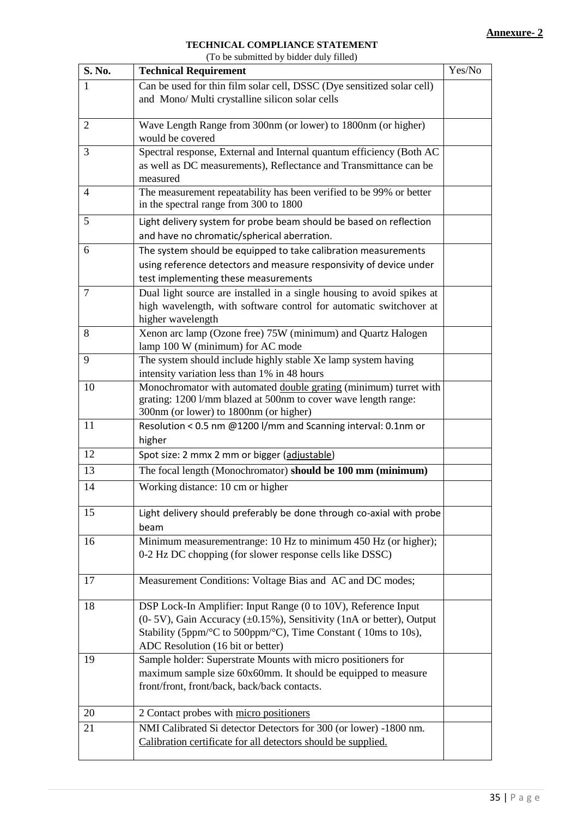#### **TECHNICAL COMPLIANCE STATEMENT**  (To be submitted by bidder duly filled)

|                | (To be subtinued by blood duly lifted)                                            |        |
|----------------|-----------------------------------------------------------------------------------|--------|
| S. No.         | <b>Technical Requirement</b>                                                      | Yes/No |
| 1              | Can be used for thin film solar cell, DSSC (Dye sensitized solar cell)            |        |
|                | and Mono/ Multi crystalline silicon solar cells                                   |        |
|                |                                                                                   |        |
| $\overline{2}$ | Wave Length Range from 300nm (or lower) to 1800nm (or higher)<br>would be covered |        |
| 3              | Spectral response, External and Internal quantum efficiency (Both AC              |        |
|                | as well as DC measurements), Reflectance and Transmittance can be                 |        |
|                | measured                                                                          |        |
| 4              | The measurement repeatability has been verified to be 99% or better               |        |
|                | in the spectral range from 300 to 1800                                            |        |
| 5              | Light delivery system for probe beam should be based on reflection                |        |
|                | and have no chromatic/spherical aberration.                                       |        |
| 6              | The system should be equipped to take calibration measurements                    |        |
|                | using reference detectors and measure responsivity of device under                |        |
|                | test implementing these measurements                                              |        |
| 7              | Dual light source are installed in a single housing to avoid spikes at            |        |
|                | high wavelength, with software control for automatic switchover at                |        |
|                | higher wavelength                                                                 |        |
| 8              | Xenon arc lamp (Ozone free) 75W (minimum) and Quartz Halogen                      |        |
|                | lamp 100 W (minimum) for AC mode                                                  |        |
| 9              | The system should include highly stable Xe lamp system having                     |        |
|                | intensity variation less than 1% in 48 hours                                      |        |
| 10             | Monochromator with automated double grating (minimum) turret with                 |        |
|                | grating: 1200 l/mm blazed at 500nm to cover wave length range:                    |        |
|                | 300nm (or lower) to 1800nm (or higher)                                            |        |
| 11             | Resolution < 0.5 nm @1200 l/mm and Scanning interval: 0.1nm or<br>higher          |        |
| 12             | Spot size: 2 mmx 2 mm or bigger (adjustable)                                      |        |
| 13             | The focal length (Monochromator) should be 100 mm (minimum)                       |        |
| 14             | Working distance: 10 cm or higher                                                 |        |
|                |                                                                                   |        |
| 15             | Light delivery should preferably be done through co-axial with probe              |        |
|                | beam                                                                              |        |
| 16             | Minimum measurementrange: 10 Hz to minimum 450 Hz (or higher);                    |        |
|                | 0-2 Hz DC chopping (for slower response cells like DSSC)                          |        |
|                |                                                                                   |        |
| 17             | Measurement Conditions: Voltage Bias and AC and DC modes;                         |        |
| 18             | DSP Lock-In Amplifier: Input Range (0 to 10V), Reference Input                    |        |
|                | $(0-5V)$ , Gain Accuracy $(\pm 0.15\%)$ , Sensitivity (1nA or better), Output     |        |
|                | Stability (5ppm/°C to 500ppm/°C), Time Constant (10ms to 10s),                    |        |
|                | ADC Resolution (16 bit or better)                                                 |        |
| 19             | Sample holder: Superstrate Mounts with micro positioners for                      |        |
|                | maximum sample size 60x60mm. It should be equipped to measure                     |        |
|                | front/front, front/back, back/back contacts.                                      |        |
| 20             | 2 Contact probes with micro positioners                                           |        |
| 21             | NMI Calibrated Si detector Detectors for 300 (or lower) -1800 nm.                 |        |
|                | Calibration certificate for all detectors should be supplied.                     |        |
|                |                                                                                   |        |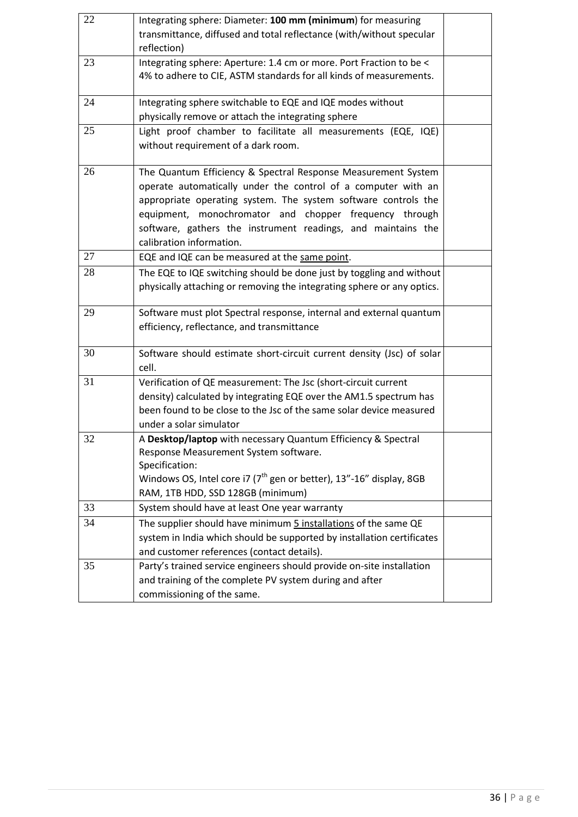| 22 | Integrating sphere: Diameter: 100 mm (minimum) for measuring<br>transmittance, diffused and total reflectance (with/without specular                                                                                                                                                                                                                   |  |
|----|--------------------------------------------------------------------------------------------------------------------------------------------------------------------------------------------------------------------------------------------------------------------------------------------------------------------------------------------------------|--|
|    | reflection)                                                                                                                                                                                                                                                                                                                                            |  |
| 23 | Integrating sphere: Aperture: 1.4 cm or more. Port Fraction to be <<br>4% to adhere to CIE, ASTM standards for all kinds of measurements.                                                                                                                                                                                                              |  |
| 24 | Integrating sphere switchable to EQE and IQE modes without<br>physically remove or attach the integrating sphere                                                                                                                                                                                                                                       |  |
| 25 | Light proof chamber to facilitate all measurements (EQE, IQE)<br>without requirement of a dark room.                                                                                                                                                                                                                                                   |  |
| 26 | The Quantum Efficiency & Spectral Response Measurement System<br>operate automatically under the control of a computer with an<br>appropriate operating system. The system software controls the<br>equipment, monochromator and chopper frequency through<br>software, gathers the instrument readings, and maintains the<br>calibration information. |  |
| 27 | EQE and IQE can be measured at the same point.                                                                                                                                                                                                                                                                                                         |  |
| 28 | The EQE to IQE switching should be done just by toggling and without<br>physically attaching or removing the integrating sphere or any optics.                                                                                                                                                                                                         |  |
| 29 | Software must plot Spectral response, internal and external quantum<br>efficiency, reflectance, and transmittance                                                                                                                                                                                                                                      |  |
| 30 | Software should estimate short-circuit current density (Jsc) of solar<br>cell.                                                                                                                                                                                                                                                                         |  |
| 31 | Verification of QE measurement: The Jsc (short-circuit current<br>density) calculated by integrating EQE over the AM1.5 spectrum has<br>been found to be close to the Jsc of the same solar device measured<br>under a solar simulator                                                                                                                 |  |
| 32 | A Desktop/laptop with necessary Quantum Efficiency & Spectral<br>Response Measurement System software.<br>Specification:<br>Windows OS, Intel core i7 ( $7th$ gen or better), 13"-16" display, 8GB<br>RAM, 1TB HDD, SSD 128GB (minimum)                                                                                                                |  |
| 33 | System should have at least One year warranty                                                                                                                                                                                                                                                                                                          |  |
| 34 | The supplier should have minimum 5 installations of the same QE                                                                                                                                                                                                                                                                                        |  |
|    | system in India which should be supported by installation certificates                                                                                                                                                                                                                                                                                 |  |
|    | and customer references (contact details).                                                                                                                                                                                                                                                                                                             |  |
| 35 | Party's trained service engineers should provide on-site installation<br>and training of the complete PV system during and after<br>commissioning of the same.                                                                                                                                                                                         |  |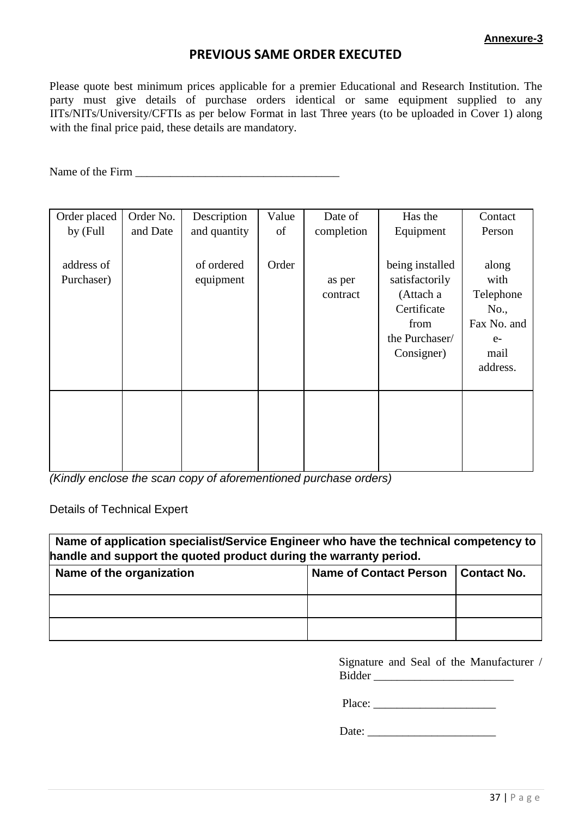## **PREVIOUS SAME ORDER EXECUTED**

Please quote best minimum prices applicable for a premier Educational and Research Institution. The party must give details of purchase orders identical or same equipment supplied to any IITs/NITs/University/CFTIs as per below Format in last Three years (to be uploaded in Cover 1) along with the final price paid, these details are mandatory.

Name of the Firm \_\_\_\_\_\_\_\_\_\_\_\_\_\_\_\_\_\_\_\_\_\_\_\_\_\_\_\_\_\_\_\_\_\_\_

| Order placed<br>by (Full | Order No.<br>and Date | Description<br>and quantity | Value<br>of | Date of<br>completion | Has the<br>Equipment                                                                                  | Contact<br>Person                                                             |
|--------------------------|-----------------------|-----------------------------|-------------|-----------------------|-------------------------------------------------------------------------------------------------------|-------------------------------------------------------------------------------|
| address of<br>Purchaser) |                       | of ordered<br>equipment     | Order       | as per<br>contract    | being installed<br>satisfactorily<br>(Attach a<br>Certificate<br>from<br>the Purchaser/<br>Consigner) | along<br>with<br>Telephone<br>No.,<br>Fax No. and<br>$e-$<br>mail<br>address. |
|                          |                       |                             |             |                       |                                                                                                       |                                                                               |

*(Kindly enclose the scan copy of aforementioned purchase orders)* 

Details of Technical Expert

| Name of application specialist/Service Engineer who have the technical competency to<br>handle and support the quoted product during the warranty period. |                               |               |  |  |  |  |
|-----------------------------------------------------------------------------------------------------------------------------------------------------------|-------------------------------|---------------|--|--|--|--|
| Name of the organization                                                                                                                                  | <b>Name of Contact Person</b> | l Contact No. |  |  |  |  |
|                                                                                                                                                           |                               |               |  |  |  |  |
|                                                                                                                                                           |                               |               |  |  |  |  |

Signature and Seal of the Manufacturer / Bidder \_\_\_\_\_\_\_\_\_\_\_\_\_\_\_\_\_\_\_\_\_\_\_\_

Place: \_\_\_\_\_\_\_\_\_\_\_\_\_\_\_\_\_\_\_\_\_

Date: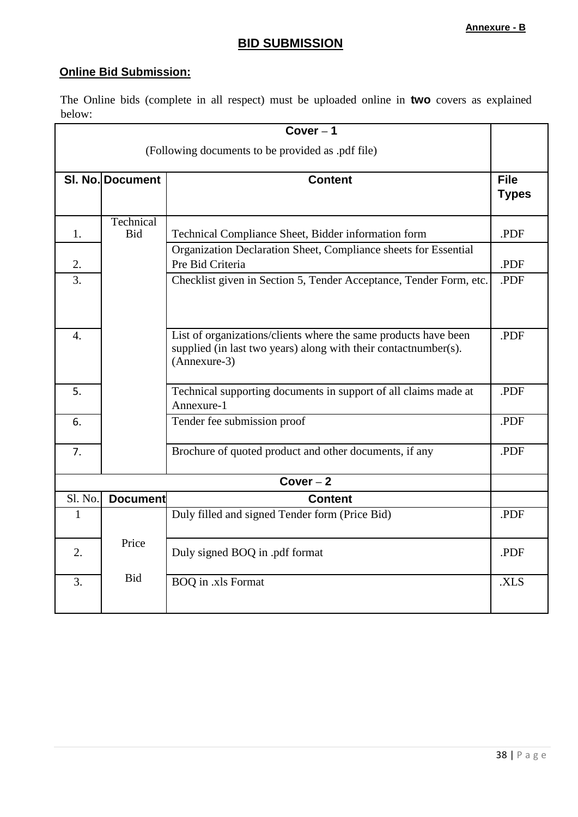# **BID SUBMISSION**

# **Online Bid Submission:**

The Online bids (complete in all respect) must be uploaded online in **two** covers as explained below:

| $Cover - 1$                                       |                         |                                                                                                                                                    |              |  |  |  |
|---------------------------------------------------|-------------------------|----------------------------------------------------------------------------------------------------------------------------------------------------|--------------|--|--|--|
| (Following documents to be provided as .pdf file) |                         |                                                                                                                                                    |              |  |  |  |
|                                                   | SI. No. Document        | <b>Content</b>                                                                                                                                     | <b>File</b>  |  |  |  |
|                                                   |                         |                                                                                                                                                    | <b>Types</b> |  |  |  |
| 1.                                                | Technical<br><b>Bid</b> | Technical Compliance Sheet, Bidder information form                                                                                                | .PDF         |  |  |  |
| 2.                                                |                         | Organization Declaration Sheet, Compliance sheets for Essential<br>Pre Bid Criteria                                                                | .PDF         |  |  |  |
| 3.                                                |                         | Checklist given in Section 5, Tender Acceptance, Tender Form, etc.                                                                                 | .PDF         |  |  |  |
| $\overline{4}$ .                                  |                         | List of organizations/clients where the same products have been<br>supplied (in last two years) along with their contactnumber(s).<br>(Annexure-3) | .PDF         |  |  |  |
| 5.                                                |                         | Technical supporting documents in support of all claims made at<br>Annexure-1                                                                      | .PDF         |  |  |  |
| 6.                                                |                         | Tender fee submission proof                                                                                                                        | .PDF         |  |  |  |
| 7.                                                |                         | Brochure of quoted product and other documents, if any                                                                                             | .PDF         |  |  |  |
| $Cover - 2$                                       |                         |                                                                                                                                                    |              |  |  |  |
| Sl. No.                                           | <b>Document</b>         | <b>Content</b>                                                                                                                                     |              |  |  |  |
| $\mathbf{1}$                                      |                         | Duly filled and signed Tender form (Price Bid)                                                                                                     | .PDF         |  |  |  |
| 2.                                                | Price                   | Duly signed BOQ in .pdf format                                                                                                                     | .PDF         |  |  |  |
| 3.                                                | <b>Bid</b>              | <b>BOQ</b> in .xls Format                                                                                                                          | .XLS         |  |  |  |